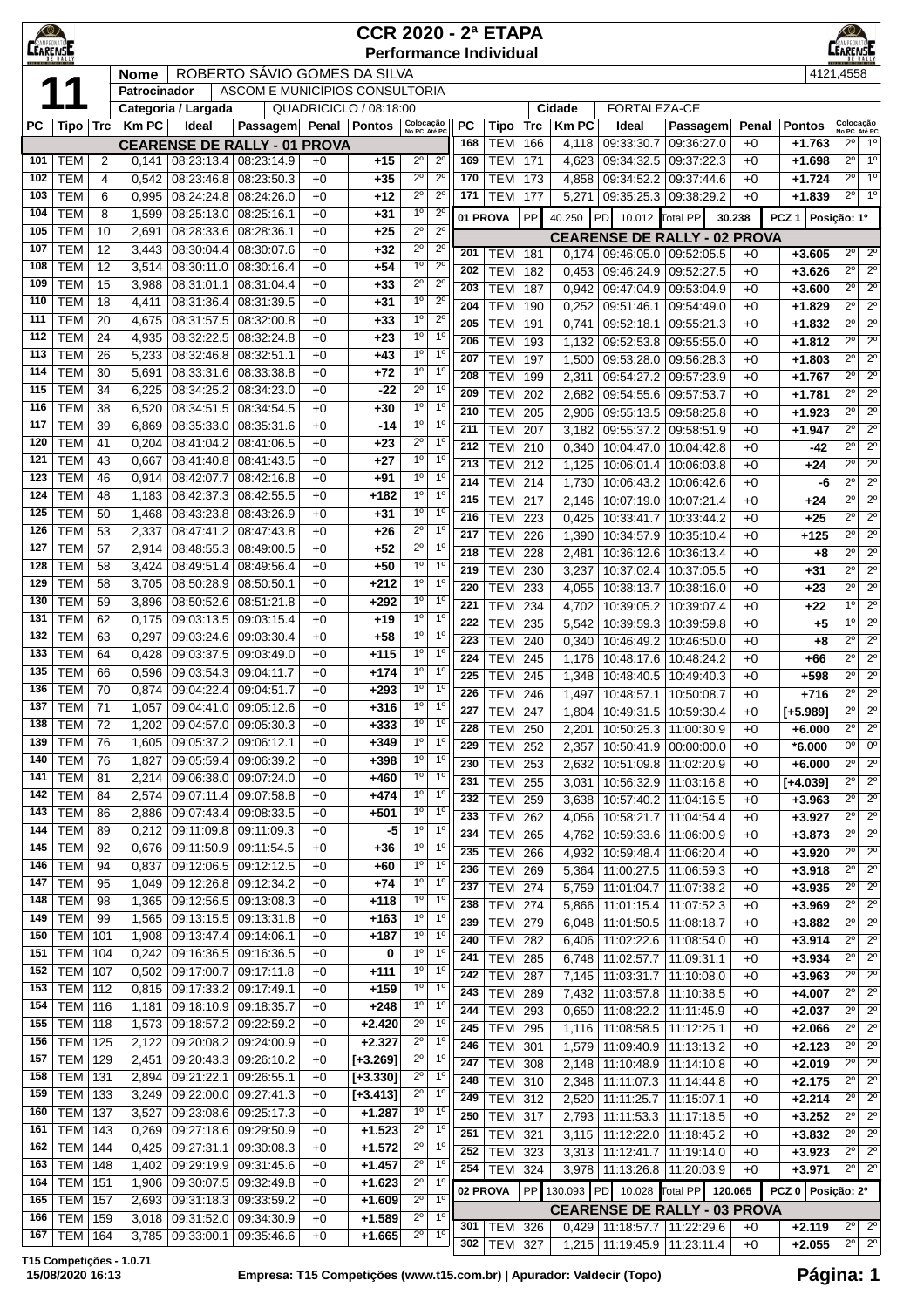|            | $\bigcirc$<br><b>CCR 2020 - 2ª ETAPA</b><br>CAMPEON<br><b>CEARENSE</b><br><b>Performance Individual</b> |            |                |                              |                                     |              |                                          |                               |                                  |            |                                  |            |                               |                              | $\bigcirc$<br>EARENSE                                                |              |                        |                                                                          |
|------------|---------------------------------------------------------------------------------------------------------|------------|----------------|------------------------------|-------------------------------------|--------------|------------------------------------------|-------------------------------|----------------------------------|------------|----------------------------------|------------|-------------------------------|------------------------------|----------------------------------------------------------------------|--------------|------------------------|--------------------------------------------------------------------------|
|            | ROBERTO SÁVIO GOMES DA SILVA<br><b>Nome</b><br>ASCOM E MUNICÍPIOS CONSULTORIA                           |            |                |                              |                                     |              |                                          |                               |                                  |            |                                  |            |                               |                              |                                                                      | 4121,4558    |                        |                                                                          |
|            |                                                                                                         |            | Patrocinador   |                              |                                     |              |                                          |                               |                                  |            |                                  |            |                               |                              |                                                                      |              |                        |                                                                          |
| РC         | Tipo   Trc                                                                                              |            | <b>KmPC</b>    | Categoria / Largada<br>Ideal | Passagem                            |              | QUADRICICLO / 08:18:00<br>Penal   Pontos |                               |                                  | <b>PC</b>  | Tipo                             | Trc        | <b>Cidade</b><br><b>Km PC</b> | <b>FORTALEZA-CE</b><br>Ideal | Passagem                                                             | Penal        | <b>Pontos</b>          |                                                                          |
|            |                                                                                                         |            |                |                              | <b>CEARENSE DE RALLY - 01 PROVA</b> |              |                                          | Colocação<br>No PC Até PC     |                                  | 168        | <b>TEM</b>                       | 166        | 4,118                         | 09:33:30.7                   | 09:36:27.0                                                           | $+0$         | $+1.763$               | Colocação<br>No PC Até PC<br>$2^{\circ}$<br>1 <sup>0</sup>               |
| 101        | <b>TEM</b>                                                                                              | 2          | 0,141          |                              | 08:23:13.4   08:23:14.9             | $+0$         | $+15$                                    | $2^{\circ}$                   | $2^{\circ}$                      | 169        | TEM                              | 171        | 4,623                         | 09:34:32.5                   | 09:37:22.3                                                           | $+0$         | $+1.698$               | $2^{\circ}$<br>$1^{\circ}$                                               |
| 102        | <b>TEM</b>                                                                                              | 4          | 0,542          | 08:23:46.8                   | 08:23:50.3                          | $+0$         | $+35$                                    | $2^{\circ}$                   | $2^{\circ}$                      | 170        | <b>TEM</b>                       | 173        | 4,858                         | 09:34:52.2                   | 09:37:44.6                                                           | $+0$         | $+1.724$               | 1 <sup>0</sup><br>$2^{\circ}$                                            |
| 103        | <b>TEM</b>                                                                                              | 6          | 0,995          | 08:24:24.8                   | 08:24:26.0                          | $+0$         | $+12$                                    | $2^{\circ}$                   | $2^{\circ}$                      | 171        | TEM                              | 177        | 5,271                         | 09:35:25.3                   | 09:38:29.2                                                           | $+0$         | $+1.839$               | $2^{\circ}$<br>1 <sup>0</sup>                                            |
| 104<br>105 | <b>TEM</b><br><b>TEM</b>                                                                                | 8<br>10    | 1,599<br>2,691 | 08:25:13.0<br>08:28:33.6     | 08:25:16.1<br>08:28:36.1            | $+0$<br>$+0$ | $+31$<br>$+25$                           | $1^{\circ}$<br>$2^{\circ}$    | $2^{\circ}$<br>$2^{\circ}$       |            | 01 PROVA                         | PP         | 40.250                        | <b>PD</b><br>10.012 Total PP |                                                                      | 30.238       | PCZ <sub>1</sub>       | Posição: 1º                                                              |
| 107        | <b>TEM</b>                                                                                              | 12         | 3,443          | 08:30:04.4                   | 08:30:07.6                          | $+0$         | $+32$                                    | $2^{\circ}$                   | $2^{\circ}$                      | 201        | TEM                              | 181        | 0,174                         |                              | <b>CEARENSE DE RALLY - 02 PROVA</b><br>09:46:05.0 09:52:05.5         | $+0$         | $+3.605$               | $2^{\circ}$<br>$2^{\circ}$                                               |
| 108        | <b>TEM</b>                                                                                              | 12         | 3,514          | 08:30:11.0                   | 08:30:16.4                          | $+0$         | $+54$                                    | 1 <sup>0</sup>                | $2^{\circ}$                      | 202        | <b>TEM</b>                       | 182        | 0,453                         | 09:46:24.9                   | 09:52:27.5                                                           | $+0$         | $+3.626$               | $2^{\circ}$<br>$2^{\circ}$                                               |
| 109        | <b>TEM</b>                                                                                              | 15         | 3,988          | 08:31:01.1                   | 08:31:04.4                          | $+0$         | $+33$                                    | $2^{\circ}$                   | $2^{\circ}$                      | 203        | <b>TEM</b>                       | 187        | 0,942                         | 09:47:04.9                   | 09:53:04.9                                                           | $+0$         | $+3.600$               | $2^{\circ}$<br>$\overline{2^0}$                                          |
| 110        | <b>TEM</b>                                                                                              | 18         | 4,411          | 08:31:36.4                   | 08:31:39.5                          | $+0$         | $+31$                                    | 1 <sup>0</sup>                | $2^{\circ}$                      | 204        | <b>TEM</b>                       | 190        | 0,252                         | 09:51:46.1                   | 09:54:49.0                                                           | $+0$         | $+1.829$               | $2^{\circ}$<br>$2^{\circ}$                                               |
| 111<br>112 | <b>TEM</b><br><b>TEM</b>                                                                                | 20<br>24   | 4,675<br>4,935 | 08:31:57.5<br>08:32:22.5     | 08:32:00.8<br>08:32:24.8            | $+0$<br>$+0$ | $+33$<br>$+23$                           | 1 <sup>0</sup><br>$1^{\circ}$ | $2^{\circ}$<br>1 <sup>0</sup>    | 205        | <b>TEM</b>                       | 191        | 0,741                         | 09:52:18.1                   | 09:55:21.3                                                           | $+0$         | $+1.832$               | $2^{\circ}$<br>$2^{\circ}$                                               |
| 113        | <b>TEM</b>                                                                                              | 26         | 5,233          | 08:32:46.8                   | 08:32:51.1                          | $+0$         | $+43$                                    | 1 <sup>0</sup>                | $1^{\circ}$                      | 206<br>207 | <b>TEM</b><br><b>TEM</b>         | 193<br>197 | 1,132<br>1,500                | 09:52:53.8<br>09:53:28.0     | 09:55:55.0<br>09:56:28.3                                             | $+0$<br>$+0$ | $+1.812$<br>$+1.803$   | $2^{\circ}$<br>$2^{\circ}$<br>$2^{\circ}$<br>$\overline{2^0}$            |
| 114        | <b>TEM</b>                                                                                              | 30         | 5,691          | 08:33:31.6                   | 08:33:38.8                          | $+0$         | +72                                      | $1^{\circ}$                   | $1^{\circ}$                      | 208        | <b>TEM</b>                       | 199        | 2,311                         | 09:54:27.2                   | 09:57:23.9                                                           | $+0$         | $+1.767$               | $2^{\circ}$<br>$2^{\circ}$                                               |
| 115        | <b>TEM</b>                                                                                              | 34         | 6,225          | 08:34:25.2                   | 08:34:23.0                          | $+0$         | -22                                      | $2^{\circ}$                   | 1 <sup>0</sup>                   | 209        | <b>TEM</b>                       | 202        | 2,682                         | 09:54:55.6                   | 09:57:53.7                                                           | $+0$         | $+1.781$               | $2^{\circ}$<br>$2^{\circ}$                                               |
| 116        | <b>TEM</b>                                                                                              | 38         | 6,520          | 08:34:51.5                   | 08:34:54.5                          | $+0$         | $+30$                                    | $1^{\circ}$                   | $1^{\circ}$                      | 210        | <b>TEM</b>                       | 205        | 2,906                         | $\overline{09:55:13.5}$      | 09:58:25.8                                                           | $+0$         | $+1.923$               | $2^{\circ}$<br>$2^{\circ}$                                               |
| 117<br>120 | <b>TEM</b><br><b>TEM</b>                                                                                | 39<br>41   | 6,869<br>0,204 | 08:35:33.0<br>08:41:04.2     | 08:35:31.6<br>08:41:06.5            | $+0$<br>$+0$ | $-14$<br>$+23$                           | $1^{\circ}$<br>$2^{\circ}$    | 1 <sup>0</sup><br>1 <sup>0</sup> | 211        | <b>TEM</b>                       | 207        | 3,182                         | 09:55:37.2                   | 09.58.51.9                                                           | $+0$         | $+1.947$               | $2^{\circ}$<br>$\overline{2^0}$                                          |
| 121        | <b>TEM</b>                                                                                              | 43         | 0,667          | 08:41:40.8                   | 08:41:43.5                          | $+0$         | $+27$                                    | 1 <sup>0</sup>                | 1 <sup>0</sup>                   | 212<br>213 | <b>TEM</b><br><b>TEM</b>         | 210<br>212 | 0,340<br>1,125                | 10:04:47.0<br>10:06:01.4     | 10:04:42.8<br>10:06:03.8                                             | $+0$<br>$+0$ | -42<br>$+24$           | $2^{\circ}$<br>$2^{\circ}$<br>$2^{\circ}$<br>$2^{\circ}$                 |
| 123        | <b>TEM</b>                                                                                              | 46         | 0,914          | 08:42:07.7                   | 08:42:16.8                          | $+0$         | $+91$                                    | 1 <sup>0</sup>                | 1 <sup>0</sup>                   | 214        | <b>TEM</b>                       | 214        | 1,730                         | 10:06:43.2                   | 10:06:42.6                                                           | $+0$         | -6                     | $2^{\circ}$<br>$\overline{2^0}$                                          |
| 124        | <b>TEM</b>                                                                                              | 48         | 1,183          | 08:42:37.3                   | 08:42:55.5                          | $+0$         | +182                                     | $1^{\circ}$                   | 1 <sup>0</sup>                   | 215        | <b>TEM</b>                       | 217        | 2,146                         | 10:07:19.0                   | 10:07:21.4                                                           | $+0$         | +24                    | $2^{\circ}$<br>$2^{\circ}$                                               |
| 125        | <b>TEM</b>                                                                                              | 50         | 1,468          | 08:43:23.8                   | 08:43:26.9                          | $+0$         | $+31$                                    | 1 <sup>0</sup>                | 1 <sup>0</sup>                   | 216        | <b>TEM</b>                       | 223        | 0,425                         | 10:33:41.7                   | 10:33:44.2                                                           | $+0$         | +25                    | $2^{\circ}$<br>$2^{\circ}$                                               |
| 126<br>127 | <b>TEM</b><br><b>TEM</b>                                                                                | 53<br>57   | 2,337<br>2,914 | 08:47:41.2<br>08:48:55.3     | 08:47:43.8<br>08:49:00.5            | $+0$<br>$+0$ | $+26$<br>$+52$                           | $2^{\circ}$<br>$2^{\circ}$    | 1 <sup>0</sup><br>1 <sup>0</sup> | 217        | <b>TEM</b>                       | 226        | 1,390                         | 10:34:57.9                   | 10:35:10.4                                                           | $+0$         | $+125$                 | $2^{\circ}$<br>$2^{\circ}$                                               |
| 128        | <b>TEM</b>                                                                                              | 58         | 3,424          | 08:49:51.4                   | 08:49:56.4                          | $+0$         | $+50$                                    | 1 <sup>0</sup>                | 1 <sup>0</sup>                   | 218<br>219 | <b>TEM</b>                       | 228        | 2,481                         | 10:36:12.6                   | 10:36:13.4                                                           | $+0$         | +8                     | $2^{\circ}$<br>$\overline{2^{\circ}}$<br>$2^{\circ}$<br>$2^{\circ}$      |
| 129        | <b>TEM</b>                                                                                              | 58         | 3,705          | 08:50:28.9                   | 08:50:50.1                          | $+0$         | +212                                     | 1 <sup>0</sup>                | 1 <sup>0</sup>                   | 220        | <b>TEM</b><br><b>TEM</b>         | 230<br>233 | 3,237<br>4,055                | 10:37:02.4<br>10:38:13.7     | 10:37:05.5<br>10:38:16.0                                             | $+0$<br>$+0$ | $+31$<br>$+23$         | $\overline{2^0}$<br>$2^{\circ}$                                          |
| 130        | <b>TEM</b>                                                                                              | 59         | 3,896          | 08:50:52.6                   | 08:51:21.8                          | $+0$         | $+292$                                   | 1 <sup>0</sup>                | $1^{\circ}$                      | 221        | <b>TEM</b>                       | 234        | 4,702                         | 10:39:05.2                   | 10:39:07.4                                                           | $+0$         | $+22$                  | 1 <sup>0</sup><br>$2^{\circ}$                                            |
| 131        | <b>TEM</b>                                                                                              | 62         | 0,175          | 09:03:13.5                   | 09:03:15.4                          | $+0$         | $+19$                                    | 1 <sup>0</sup>                | 1 <sup>0</sup>                   | 222        | <b>TEM</b>                       | 235        | 5,542                         | 10:39:59.3                   | 10:39:59.8                                                           | $+0$         | +5                     | $1^{\circ}$<br>$2^{\circ}$                                               |
| 132<br>133 | <b>TEM</b><br><b>TEM</b>                                                                                | 63<br>64   | 0,297<br>0,428 | 09:03:24.6<br>09:03:37.5     | 09:03:30.4<br>09:03:49.0            | $+0$<br>$+0$ | $+58$<br>$+115$                          | 1 <sup>0</sup><br>$1^{\circ}$ | 1 <sup>0</sup><br>$1^{\circ}$    | 223        | <b>TEM</b>                       | 240        | 0,340                         | 10:46:49.2                   | 10:46:50.0                                                           | $+0$         | +8                     | $2^{\circ}$<br>$\overline{2^0}$                                          |
| 135        | <b>TEM</b>                                                                                              | 66         | 0,596          | 09:03:54.3                   | 09:04:11.7                          | $+0$         | +174                                     | 1 <sup>0</sup>                | $1^{\circ}$                      | 224        | <b>TEM</b>                       | 245        | 1,176                         | 10:48:17.6                   | 10:48:24.2                                                           | $+0$         | +66                    | $2^{\circ}$<br>$2^{\circ}$<br>$2^{\circ}$<br>$2^{\circ}$                 |
| 136        | <b>TEM</b>                                                                                              | 70         | 0,874          | 09:04:22.4                   | 09:04:51.7                          | $+0$         | $+293$                                   | 1 <sup>0</sup>                | $1^{\circ}$                      | 225<br>226 | <b>TEM</b><br><b>TEM</b>         | 245<br>246 | 1,348<br>1,497                | 10:48:40.5<br>10:48:57.1     | 10:49:40.3<br>10:50:08.7                                             | $+0$<br>$+0$ | $+598$<br>$+716$       | $2^{\circ}$<br>$2^{\circ}$                                               |
| 137        | <b>TEM</b>                                                                                              | 71         | 1,057          | 09:04:41.0                   | 09:05:12.6                          | $+0$         | +316                                     | $1^{\circ}$                   | 1 <sup>0</sup>                   | 227        | <b>TEM   247</b>                 |            | 1,804                         |                              | 10:49:31.5   10:59:30.4                                              | $+0$         | [+5.989]               | $\overline{2^{\circ}}$<br>$2^{\circ}$                                    |
| 138        | <b>TEM</b>                                                                                              | 72         | 1,202          | 09:04:57.0                   | 09:05:30.3                          | $+0$         | +333                                     | 1 <sup>0</sup>                | 1 <sup>0</sup>                   | 228        | <b>TEM 250</b>                   |            | 2,201                         |                              | 10:50:25.3   11:00:30.9                                              | $+0$         | $+6.000$               | $2^{\circ}$<br>$2^{\circ}$                                               |
| 139<br>140 | <b>TEM</b><br><b>TEM</b>                                                                                | 76<br>76   | 1,605          | 09:05:37.2<br>09:05:59.4     | 09:06:12.1                          | $+0$         | $+349$<br>+398                           | $1^{\circ}$<br>$1^{\circ}$    | 1 <sup>0</sup><br>1 <sup>0</sup> | 229        | <b>TEM</b>                       | 252        | 2,357                         |                              | 10:50:41.9 00:00:00.0                                                | $+0$         | $*6.000$               | $0^{\circ}$<br>$0^{\circ}$                                               |
| 141        | <b>TEM</b>                                                                                              | 81         | 1,827<br>2,214 | 09:06:38.0                   | 09:06:39.2<br>09:07:24.0            | $+0$<br>$+0$ | +460                                     | $1^{\circ}$                   | $1^{\circ}$                      | 230<br>231 | TEM                              | 253        | 2,632                         |                              | 10:51:09.8   11:02:20.9                                              | $+0$         | $+6.000$               | $2^{\circ}$<br>$2^{\circ}$<br>$\overline{2^0}$<br>$\overline{2^{\circ}}$ |
| 142        | <b>TEM</b>                                                                                              | 84         | 2,574          | 09:07:11.4                   | 09:07:58.8                          | $+0$         | $+474$                                   | 1 <sup>0</sup>                | 1 <sup>0</sup>                   | 232        | <b>TEM</b><br>TEM                | 255<br>259 | 3,031<br>3,638                |                              | 10:56:32.9 11:03:16.8<br>10:57:40.2 11:04:16.5                       | $+0$<br>$+0$ | $[+4.039]$<br>$+3.963$ | $2^{\circ}$<br>$2^{\circ}$                                               |
| 143        | <b>TEM</b>                                                                                              | 86         | 2,886          | 09:07:43.4                   | 09:08:33.5                          | $+0$         | $+501$                                   | 1 <sup>0</sup>                | 1 <sup>0</sup>                   | 233        | TEM                              | 262        | 4,056                         |                              | 10:58:21.7   11:04:54.4                                              | $+0$         | $+3.927$               | $2^{\circ}$<br>$2^{\circ}$                                               |
| 144        | <b>TEM</b>                                                                                              | 89         | 0,212          | 09:11:09.8                   | 09:11:09.3                          | $+0$         | -5                                       | $1^{\circ}$                   | 1 <sup>0</sup>                   | 234        | TEM                              | 265        | 4,762                         |                              | 10:59:33.6   11:06:00.9                                              | $+0$         | $+3.873$               | $2^{\circ}$<br>$2^{\circ}$                                               |
| 145        | <b>TEM</b>                                                                                              | 92         | 0,676          | 09:11:50.9                   | 09:11:54.5                          | $+0$         | +36                                      | $1^{\circ}$                   | $1^{\circ}$<br>1 <sup>0</sup>    | 235        | <b>TEM</b>                       | 266        | 4,932                         | 10:59:48.4                   | 11:06:20.4                                                           | $+0$         | $+3.920$               | $2^{\circ}$<br>$2^{\circ}$                                               |
| 146<br>147 | <b>TEM</b><br><b>TEM</b>                                                                                | 94<br>95   | 0,837<br>1,049 | 09:12:06.5<br>09:12:26.8     | 09:12:12.5<br>09:12:34.2            | $+0$<br>$+0$ | $+60$<br>$+74$                           | $1^{\circ}$<br>$1^{\circ}$    | 1 <sup>0</sup>                   | 236<br>237 | TEM                              | 269        | 5,364                         |                              | 11:00:27.5   11:06:59.3                                              | $+0$         | $+3.918$               | $2^{\circ}$<br>$2^{\circ}$<br>$2^{\circ}$<br>$2^{\circ}$                 |
| 148        | <b>TEM</b>                                                                                              | 98         | 1,365          | 09:12:56.5                   | 09:13:08.3                          | $+0$         | $+118$                                   | $1^{\circ}$                   | $1^{\circ}$                      | 238        | <b>TEM 274</b><br><b>TEM 274</b> |            | 5,759<br>5,866                |                              | 11:01:04.7   11:07:38.2<br>11:01:15.4   11:07:52.3                   | $+0$<br>$+0$ | $+3.935$<br>$+3.969$   | $2^{\circ}$<br>$2^{\circ}$                                               |
| 149        | <b>TEM</b>                                                                                              | 99         | 1,565          | 09:13:15.5                   | 09:13:31.8                          | $+0$         | +163                                     | 1 <sup>0</sup>                | $1^{\circ}$                      | 239        | <b>TEM</b>                       | 279        | 6,048                         | 11:01:50.5                   | 11:08:18.7                                                           | $+0$         | $+3.882$               | $2^{\circ}$<br>$\overline{2^0}$                                          |
| 150        | <b>TEM</b>                                                                                              | 101        | 1,908          | 09:13:47.4                   | 09:14:06.1                          | $+0$         | $+187$                                   | 1 <sup>0</sup>                | 1 <sup>0</sup>                   | 240        | <b>TEM</b>                       | 282        | 6,406                         | 11:02:22.6                   | 11:08:54.0                                                           | $+0$         | $+3.914$               | $2^{\circ}$<br>$2^{\circ}$                                               |
| 151<br>152 | <b>TEM</b><br>TEM                                                                                       | 104<br>107 | 0,242<br>0,502 | 09:16:36.5<br>09:17:00.7     | 09:16:36.5<br>09:17:11.8            | $+0$         | 0<br>$+111$                              | 1 <sup>0</sup><br>$1^{\circ}$ | 1 <sup>0</sup><br>$1^{\circ}$    | 241        | TEM                              | 285        | 6,748                         | 11:02:57.7                   | 11:09:31.1                                                           | $+0$         | $+3.934$               | $2^{\circ}$<br>$2^{\circ}$                                               |
| 153        | <b>TEM 112</b>                                                                                          |            | 0,815          | 09:17:33.2                   | 09:17:49.1                          | $+0$<br>$+0$ | $+159$                                   | $1^{\circ}$                   | 1 <sup>0</sup>                   | 242<br>243 | TEM                              | 287        | 7,145                         | 11:03:31.7                   | 11:10:08.0                                                           | $+0$         | $+3.963$               | $2^{\circ}$<br>$2^{\circ}$<br>$\overline{2^{\circ}}$<br>$2^{\circ}$      |
| 154        | <b>TEM 116</b>                                                                                          |            | 1,181          | 09:18:10.9                   | 09:18:35.7                          | $+0$         | $+248$                                   | $1^{\circ}$                   | 1 <sup>0</sup>                   | 244        | <b>TEM</b><br>TEM                | 289<br>293 | 7,432<br>0,650                | 11:03:57.8<br>11:08:22.2     | 11:10:38.5<br>11:11:45.9                                             | $+0$<br>$+0$ | $+4.007$<br>$+2.037$   | $2^{\circ}$<br>$2^{\circ}$                                               |
| 155        | <b>TEM</b>                                                                                              | 118        | 1,573          | 09:18:57.2                   | 09:22:59.2                          | $+0$         | $+2.420$                                 | $2^{\circ}$                   | 1 <sup>o</sup>                   | 245        | TEM                              | 295        | 1,116                         | 11:08:58.5                   | 11:12:25.1                                                           | $+0$         | $+2.066$               | $2^{\circ}$<br>$2^{\circ}$                                               |
| 156        | <b>TEM</b>                                                                                              | 125        | 2,122          | 09:20:08.2                   | 09:24:00.9                          | $+0$         | $+2.327$                                 | $2^{\circ}$                   | 1 <sup>0</sup>                   | 246        | TEM                              | 301        | 1,579                         | 11:09:40.9                   | 11:13:13.2                                                           | $+0$         | $+2.123$               | $\overline{2^{\circ}}$<br>$\overline{2^0}$                               |
| 157        | <b>TEM</b>                                                                                              | 129        | 2,451          | 09:20:43.3                   | 09:26:10.2                          | $+0$         | $[+3.269]$                               | $2^{\circ}$<br>$2^{\circ}$    | 1 <sup>0</sup><br>$1^{\circ}$    | 247        | <b>TEM 308</b>                   |            | 2,148                         |                              | 11:10:48.9   11:14:10.8                                              | $+0$         | $+2.019$               | $\overline{2^{\circ}}$<br>$2^{\circ}$                                    |
| 158<br>159 | <b>TEM</b><br><b>TEM</b>                                                                                | 131<br>133 | 2,894<br>3,249 | 09:21:22.1<br>09:22:00.0     | 09:26:55.1<br>09:27:41.3            | $+0$<br>$+0$ | $[-3.330]$<br>$[-3.413]$                 | $2^{\circ}$                   | 1 <sup>0</sup>                   | 248        | <b>TEM</b>                       | 310        | 2,348                         | 11:11:07.3                   | 11:14:44.8                                                           | $+0$         | $+2.175$               | $2^{\circ}$<br>$2^{\circ}$                                               |
| 160        | <b>TEM</b>                                                                                              | 137        | 3,527          | 09:23:08.6                   | 09:25:17.3                          | $+0$         | $+1.287$                                 | $1^{\circ}$                   | 1 <sup>0</sup>                   | 249<br>250 | TEM 312<br><b>TEM 317</b>        |            | 2,520<br>2,793                | 11:11:25.7<br>11:11:53.3     | 11:15:07.1<br>11:17:18.5                                             | $+0$<br>$+0$ | $+2.214$<br>$+3.252$   | $2^{\circ}$<br>$2^{\circ}$<br>$2^{\circ}$<br>$2^{\circ}$                 |
| 161        | TEM                                                                                                     | 143        | 0,269          | 09:27:18.6                   | 09:29:50.9                          | $+0$         | $+1.523$                                 | $2^{\circ}$                   | $1^{\circ}$                      | 251        | $TEM$ 321                        |            | 3,115                         | 11:12:22.0                   | 11:18:45.2                                                           | $+0$         | $+3.832$               | $2^{\circ}$<br>$2^{\circ}$                                               |
| 162        | <b>TEM</b>                                                                                              | 144        | 0,425          | 09:27:31.1                   | 09:30:08.3                          | $+0$         | $+1.572$                                 | $2^{\circ}$                   | $1^{\circ}$                      | 252        | <b>TEM</b>                       | 323        | 3,313                         | 11:12:41.7                   | 11:19:14.0                                                           | $+0$         | $+3.923$               | $2^{\circ}$<br>$2^{\circ}$                                               |
| 163        | <b>TEM</b>                                                                                              | 148        | 1,402          | 09:29:19.9                   | 09:31:45.6                          | $+0$         | $+1.457$                                 | $2^{\circ}$                   | 1 <sup>0</sup>                   | 254        | <b>TEM 324</b>                   |            |                               |                              | 3,978   11:13:26.8   11:20:03.9                                      | $+0$         | $+3.971$               | $2^{\circ}$<br>$2^{\circ}$                                               |
| 164<br>165 | <b>TEM</b><br><b>TEM</b>                                                                                | 151<br>157 | 1,906<br>2,693 | 09:30:07.5<br>09:31:18.3     | 09:32:49.8<br>09:33:59.2            | $+0$<br>$+0$ | $+1.623$<br>$+1.609$                     | $2^{\circ}$<br>$2^{\circ}$    | 1 <sup>0</sup><br>1 <sup>0</sup> |            | 02 PROVA                         | PP         | 130.093 PD                    | 10.028                       | Total PP 120.065                                                     |              | PCZ 0 Posição: 2º      |                                                                          |
| 166        | <b>TEM</b>                                                                                              | 159        | 3,018          | 09:31:52.0                   | 09:34:30.9                          | $+0$         | $+1.589$                                 | $2^{\circ}$                   | 1 <sup>0</sup>                   |            |                                  |            |                               |                              | <b>CEARENSE DE RALLY - 03 PROVA</b>                                  |              |                        |                                                                          |
| 167        | TEM                                                                                                     | 164        | 3,785          | 09:33:00.1                   | 09:35:46.6                          | $+0$         | $+1.665$                                 | $2^{\circ}$                   | $1^{\circ}$                      | 301<br>302 | <b>TEM 326</b><br><b>TEM 327</b> |            |                               |                              | $0,429$   11:18:57.7   11:22:29.6<br>1,215   11:19:45.9   11:23:11.4 | $+0$<br>$+0$ | $+2.119$<br>$+2.055$   | $2^{\circ}$<br>$2^{\circ}$<br>$\overline{2^0}$<br>$2^{\circ}$            |

**T15 Competições - 1.0.71**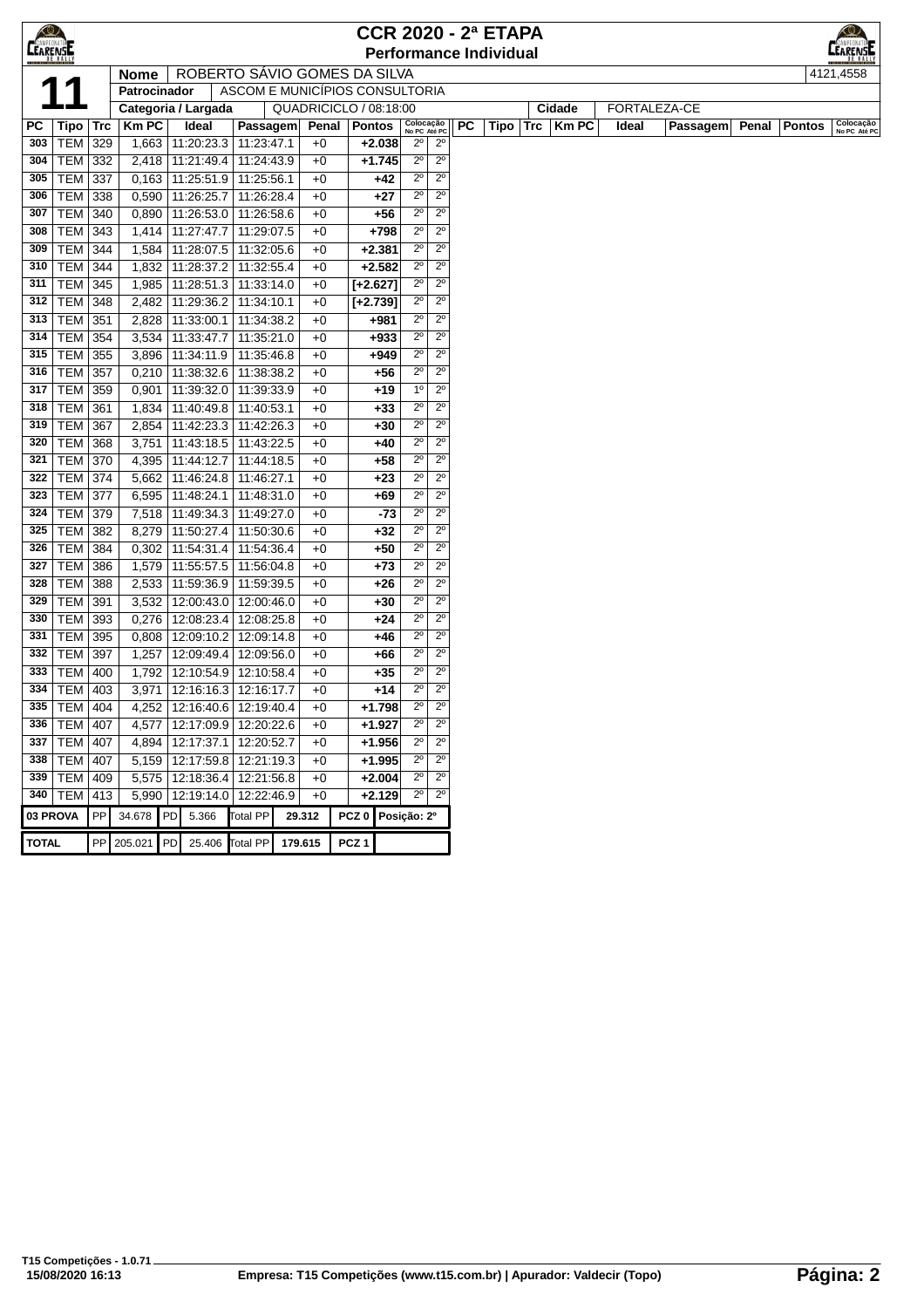|                 | $\bigotimes$<br><b>CCR 2020 - 2ª ETAPA</b> |     |                                     |    |                                 |                          |                                |                  |                               |                            |                            |           |                               |     |                       |       |              |       |               |              |
|-----------------|--------------------------------------------|-----|-------------------------------------|----|---------------------------------|--------------------------|--------------------------------|------------------|-------------------------------|----------------------------|----------------------------|-----------|-------------------------------|-----|-----------------------|-------|--------------|-------|---------------|--------------|
| <b>LEARENSE</b> |                                            |     |                                     |    |                                 |                          |                                |                  |                               |                            |                            |           | <b>Performance Individual</b> |     |                       |       |              |       |               | LEARENSE     |
|                 |                                            |     | <b>Nome</b>                         |    |                                 |                          | ROBERTO SAVIO GOMES DA SILVA   |                  |                               |                            |                            |           |                               |     |                       |       |              |       |               | 4121,4558    |
|                 |                                            |     | Patrocinador                        |    |                                 |                          | ASCOM E MUNICÍPIOS CONSULTORIA |                  |                               |                            |                            |           |                               |     |                       |       | FORTALEZA-CE |       |               |              |
| PC              | Tipo                                       | Trc | Categoria / Largada<br><b>Km PC</b> |    | Ideal                           | Passagem                 | QUADRICICLO / 08:18:00         | Penal            | Pontos                        | Colocação<br>No PC Até PC  |                            | <b>PC</b> | Tipo                          | Trc | Cidade<br><b>KmPC</b> | Ideal | Passagem     | Penal | <b>Pontos</b> | Colocação    |
| 303             | <b>TEM</b>                                 | 329 | 1,663                               |    | 11:20:23.3                      | 11:23:47.1               | $+0$                           |                  | $+2.038$                      | $2^{\circ}$                | $2^{\circ}$                |           |                               |     |                       |       |              |       |               | No PC Até PC |
| 304             | TEM   332                                  |     | 2,418                               |    | 11:21:49.4                      | 11:24:43.9               | $+0$                           |                  | $+1.745$                      | $2^{\circ}$                | $2^{\circ}$                |           |                               |     |                       |       |              |       |               |              |
| 305             | <b>TEM 337</b>                             |     | 0,163                               |    | 11:25:51.9                      | 11:25:56.1               | $+0$                           |                  | $+42$                         | $2^{\circ}$                | $2^{\circ}$                |           |                               |     |                       |       |              |       |               |              |
| 306             | <b>TEM</b>                                 | 338 | 0,590                               |    | 11:26:25.7                      | 11:26:28.4               | $+0$                           |                  | $+27$                         | $2^{\circ}$                | $2^{\circ}$                |           |                               |     |                       |       |              |       |               |              |
| 307             | <b>TEM</b>                                 | 340 | 0,890                               |    | 11:26:53.0                      | 11:26:58.6               | $+0$                           |                  | $+56$                         | $2^{\circ}$                | $2^{\circ}$                |           |                               |     |                       |       |              |       |               |              |
| 308             | <b>TEM 343</b>                             |     | 1,414                               |    | 11:27:47.7                      | 11:29:07.5               | $+0$                           |                  | +798                          | $2^{\circ}$                | $2^{\circ}$                |           |                               |     |                       |       |              |       |               |              |
| 309             | <b>TEM 344</b>                             |     | 1,584                               |    | 11:28:07.5                      | 11:32:05.6               | $+0$                           |                  | $+2.381$                      | $2^{\circ}$                | $2^{\circ}$                |           |                               |     |                       |       |              |       |               |              |
| 310             | <b>TEM 344</b>                             |     | 1,832                               |    | 11:28:37.2                      | 11:32:55.4               | $+0$                           |                  | $+2.582$                      | $2^{\circ}$                | $2^{\circ}$                |           |                               |     |                       |       |              |       |               |              |
| 311             | <b>TEM 345</b>                             |     | 1,985                               |    | 11:28:51.3                      | 11:33:14.0               | $+0$                           |                  | $[+2.627]$                    | $2^{\circ}$                | $2^{\circ}$                |           |                               |     |                       |       |              |       |               |              |
| 312             | <b>TEM 348</b>                             |     | 2,482                               |    | 11:29:36.2                      | 11:34:10.1               | $+0$                           |                  | $[-2.739]$                    | $2^{\circ}$                | $2^{\circ}$                |           |                               |     |                       |       |              |       |               |              |
| 313<br>314      | <b>TEM 351</b><br><b>TEM 354</b>           |     | 2,828<br>3,534                      |    | 11:33:00.1<br>11:33:47.7        | 11:34:38.2<br>11:35:21.0 | $+0$<br>$+0$                   |                  | +981<br>$+933$                | $2^{\circ}$<br>$2^{\circ}$ | $2^{\circ}$<br>$2^{\circ}$ |           |                               |     |                       |       |              |       |               |              |
| 315             | <b>TEM</b>                                 | 355 | 3,896                               |    | 11:34:11.9                      | 11:35:46.8               | $+0$                           |                  | +949                          | $2^{\circ}$                | $2^{\circ}$                |           |                               |     |                       |       |              |       |               |              |
| 316             | <b>TEM</b>                                 | 357 | 0,210                               |    | 11:38:32.6                      | 11:38:38.2               | $+0$                           |                  | $+56$                         | $2^{\circ}$                | $2^{\circ}$                |           |                               |     |                       |       |              |       |               |              |
| 317             | TEM 359                                    |     | 0,901                               |    | 11:39:32.0                      | 11:39:33.9               | $+0$                           |                  | $+19$                         | 1 <sup>0</sup>             | $2^{\circ}$                |           |                               |     |                       |       |              |       |               |              |
| 318             | <b>TEM 361</b>                             |     | 1,834                               |    | 11:40:49.8                      | 11:40:53.1               | $+0$                           |                  | $+33$                         | $2^{\circ}$                | $2^{\circ}$                |           |                               |     |                       |       |              |       |               |              |
| 319             | TEM                                        | 367 | 2,854                               |    | 11:42:23.3                      | 11:42:26.3               | $+0$                           |                  | +30                           | $2^{\circ}$                | $2^{\circ}$                |           |                               |     |                       |       |              |       |               |              |
| 320             | <b>TEM 368</b>                             |     | 3,751                               |    | 11:43:18.5                      | 11:43:22.5               | $+0$                           |                  | +40                           | $2^{\circ}$                | $2^{\circ}$                |           |                               |     |                       |       |              |       |               |              |
| 321             | <b>TEM 370</b>                             |     | 4,395                               |    | 11:44:12.7                      | 11:44:18.5               | $+0$                           |                  | $+58$                         | $2^{\circ}$                | $2^{\circ}$                |           |                               |     |                       |       |              |       |               |              |
| 322             | <b>TEM 374</b>                             |     | 5,662                               |    | 11:46:24.8                      | 11:46:27.1               | $+0$                           |                  | $+23$                         | $2^{\circ}$                | $2^{\circ}$                |           |                               |     |                       |       |              |       |               |              |
| 323             | <b>TEM 377</b>                             |     | 6,595                               |    | 11:48:24.1                      | 11:48:31.0               | $+0$                           |                  | $+69$                         | $2^{\circ}$                | $2^{\circ}$                |           |                               |     |                       |       |              |       |               |              |
| 324             | <b>TEM</b>                                 | 379 | 7,518                               |    | 11:49:34.3                      | 11:49:27.0               | $+0$                           |                  | -73                           | $2^{\circ}$                | $2^{\circ}$                |           |                               |     |                       |       |              |       |               |              |
| 325             | <b>TEM</b>                                 | 382 | 8,279                               |    | 11:50:27.4                      | 11:50:30.6               | $+0$                           |                  | +32                           | $2^{\circ}$                | $2^{\circ}$                |           |                               |     |                       |       |              |       |               |              |
| 326<br>327      | TEM<br><b>TEM 386</b>                      | 384 | 0,302<br>1,579                      |    | 11:54:31.4<br>11:55:57.5        | 11:54:36.4               | $+0$<br>$+0$                   |                  | $+50$<br>$+73$                | $2^{\circ}$<br>$2^{\circ}$ | $2^{\circ}$<br>$2^{\circ}$ |           |                               |     |                       |       |              |       |               |              |
| 328             | <b>TEM 388</b>                             |     | 2,533                               |    | 11:59:36.9                      | 11:56:04.8<br>11:59:39.5 | $+0$                           |                  | $+26$                         | $2^{\circ}$                | $2^{\circ}$                |           |                               |     |                       |       |              |       |               |              |
| 329             | <b>TEM</b>                                 | 391 | 3,532                               |    | 12:00:43.0                      | 12:00:46.0               | $+0$                           |                  | +30                           | $2^{\circ}$                | $2^{\circ}$                |           |                               |     |                       |       |              |       |               |              |
| 330             | TEM 393                                    |     | 0,276                               |    | 12:08:23.4                      | 12:08:25.8               | $+0$                           |                  | $+24$                         | $2^{\circ}$                | $2^{\circ}$                |           |                               |     |                       |       |              |       |               |              |
| 331             | TEM   395                                  |     | 0,808                               |    | 12:09:10.2                      | 12:09:14.8               | $+0$                           |                  | $+46$                         | $2^{\circ}$                | $2^{\circ}$                |           |                               |     |                       |       |              |       |               |              |
| 332             | <b>TEM 397</b>                             |     | 1,257                               |    | 12:09:49.4                      | 12:09:56.0               | $+0$                           |                  | +66                           | $2^{\circ}$                | $2^{\circ}$                |           |                               |     |                       |       |              |       |               |              |
| 333             | <b>TEM</b>                                 | 400 | 1,792                               |    | 12:10:54.9                      | 12:10:58.4               | $+0$                           |                  | $+35$                         | $2^{\circ}$                | $2^{\circ}$                |           |                               |     |                       |       |              |       |               |              |
| 334             | <b>TEM</b>                                 | 403 | 3,971                               |    | 12:16:16.3 12:16:17.7           |                          | $+0$                           |                  | $+14$                         | $2^{\circ}$                | $2^{\circ}$                |           |                               |     |                       |       |              |       |               |              |
|                 | 335   TEM   404                            |     | 4,252                               |    | 12:16:40.6 12:19:40.4           |                          | $+0$                           |                  | $+1.798$                      | $2^{\circ}$                | $2^{\circ}$                |           |                               |     |                       |       |              |       |               |              |
|                 | 336   TEM   407                            |     |                                     |    | 4,577   12:17:09.9   12:20:22.6 |                          | $+0$                           |                  | $+1.927$                      | $2^{\circ}$                | $2^{\circ}$                |           |                               |     |                       |       |              |       |               |              |
|                 | 337   TEM   407                            |     | 4,894                               |    | 12:17:37.1   12:20:52.7         |                          | $+0$                           |                  | $+1.956$                      | $2^{\circ}$                | $2^{\circ}$                |           |                               |     |                       |       |              |       |               |              |
|                 | 338   TEM   407                            |     |                                     |    | 5,159   12:17:59.8   12:21:19.3 |                          | $+0$                           |                  | $+1.995$                      | $2^{\circ}$                | $2^{\circ}$                |           |                               |     |                       |       |              |       |               |              |
|                 | 339   TEM   409                            |     | 5,575                               |    | 12:18:36.4   12:21:56.8         |                          | $+0$                           |                  | $+2.004$                      | $2^{\circ}$<br>$2^{\circ}$ | $2^{\circ}$<br>$2^{\circ}$ |           |                               |     |                       |       |              |       |               |              |
| 03 PROVA        | 340   TEM   413                            | PP  | 5,990<br>34.678                     | PD | 12:19:14.0 12:22:46.9<br>5.366  | <b>Total PP</b>          | $+0$<br>29.312                 |                  | $+2.129$<br>PCZ 0 Posição: 2º |                            |                            |           |                               |     |                       |       |              |       |               |              |
|                 |                                            |     |                                     |    |                                 |                          |                                |                  |                               |                            |                            |           |                               |     |                       |       |              |       |               |              |
| <b>TOTAL</b>    |                                            |     | PP 205.021                          | PD | 25.406 Total PP                 |                          | 179.615                        | PCZ <sub>1</sub> |                               |                            |                            |           |                               |     |                       |       |              |       |               |              |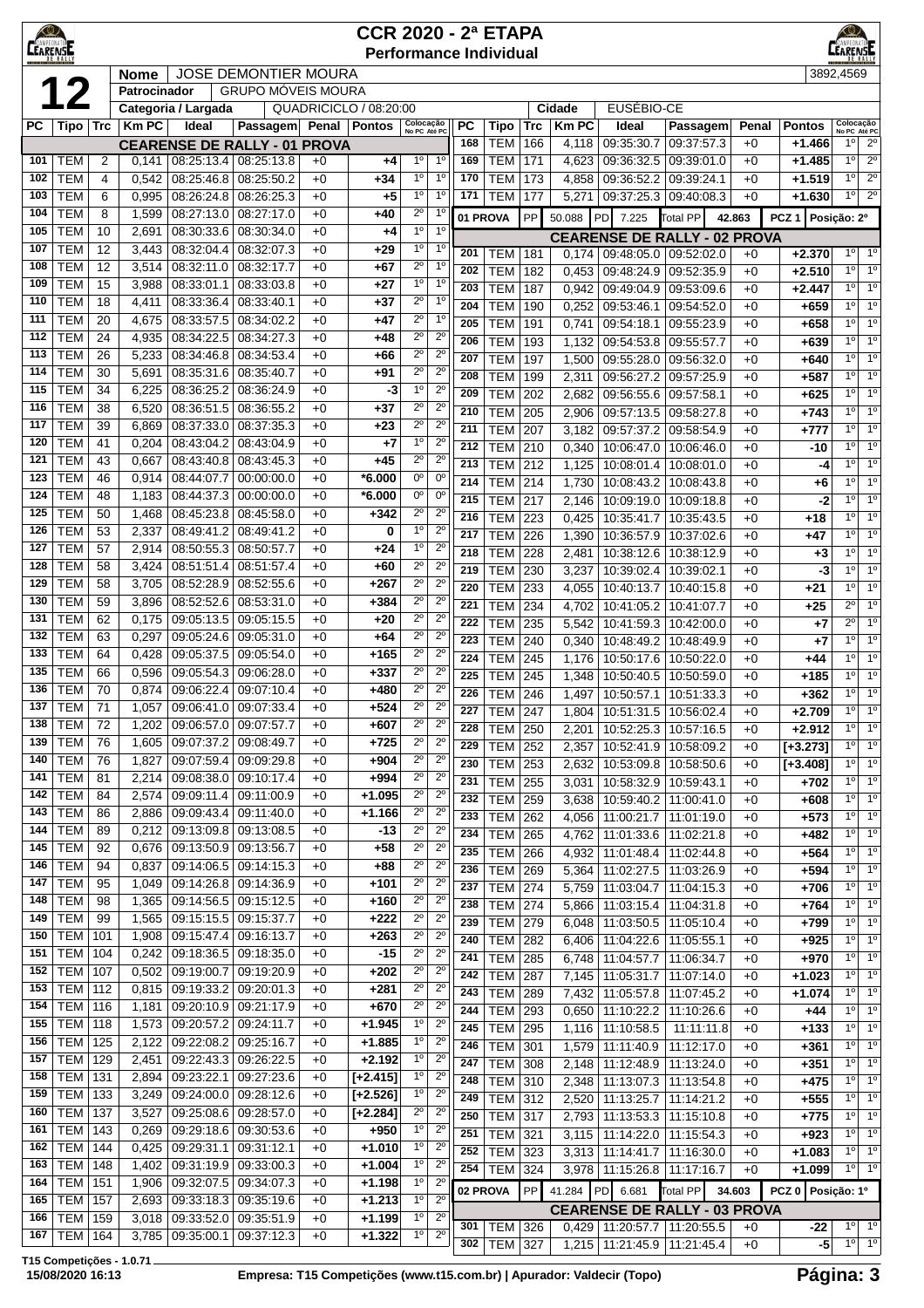| $\bigotimes$<br><b>CEARENSE</b> |                          | <b>CCR 2020 - 2ª ETAPA</b><br><b>Performance Individual</b>                   |                |                          |                                                   |              |                        |                                                          |                                         |                          |            |                |                                        |                          | ≤©∕<br><b>EARENSE</b> |                           |                                             |                                    |  |  |  |
|---------------------------------|--------------------------|-------------------------------------------------------------------------------|----------------|--------------------------|---------------------------------------------------|--------------|------------------------|----------------------------------------------------------|-----------------------------------------|--------------------------|------------|----------------|----------------------------------------|--------------------------|-----------------------|---------------------------|---------------------------------------------|------------------------------------|--|--|--|
|                                 |                          | <b>JOSE DEMONTIER MOURA</b><br>3892,4569<br>Nome<br><b>GRUPO MÓVEIS MOURA</b> |                |                          |                                                   |              |                        |                                                          |                                         |                          |            |                |                                        |                          |                       |                           |                                             |                                    |  |  |  |
|                                 |                          |                                                                               | Patrocinador   |                          |                                                   |              |                        |                                                          |                                         |                          |            |                |                                        |                          |                       |                           |                                             |                                    |  |  |  |
|                                 |                          |                                                                               |                | Categoria / Largada      |                                                   |              | QUADRICICLO / 08:20:00 |                                                          |                                         |                          |            | Cidade         | EUSÉBIO-CE                             |                          |                       |                           |                                             |                                    |  |  |  |
| PС                              | Tipo                     | Trc                                                                           | <b>KmPC</b>    | Ideal                    | Passagem Penal Pontos                             |              |                        | Colocação<br>No PC Até PC                                | PC<br>168                               | Tipo<br><b>TEM</b>       | Trc<br>166 | KmPC<br>4,118  | Ideal<br>09:35:30.7                    | Passagem<br>09:37:57.3   | Penal<br>$+0$         | <b>Pontos</b><br>$+1.466$ | Colocação<br>No PC Até PC<br>1 <sup>0</sup> | $2^{\circ}$                        |  |  |  |
| 101                             | <b>TEM</b>               | 2                                                                             | 0,141          | 08:25:13.4               | <b>CEARENSE DE RALLY - 01 PROVA</b><br>08:25:13.8 | $+0$         | +4                     | 1 <sup>0</sup><br>$1^{\circ}$                            | 169                                     | TEM                      | 171        | 4,623          | 09:36:32.5                             | 09:39:01.0               | $+0$                  | +1.485                    | 1 <sup>0</sup>                              | $\overline{2^0}$                   |  |  |  |
| 102                             | <b>TEM</b>               | 4                                                                             | 0,542          | 08:25:46.8               | 08:25:50.2                                        | $+0$         | $+34$                  | 1 <sup>0</sup><br>$1^{\circ}$                            | 170                                     | <b>TEM</b>               | 173        | 4,858          | 09:36:52.2                             | 09:39:24.1               | $+0$                  | $+1.519$                  | $1^{\circ}$                                 | $2^{\circ}$                        |  |  |  |
| 103                             | TEM                      | 6                                                                             | 0,995          | 08:26:24.8               | 08:26:25.3                                        | $+0$         | $+5$                   | $1^{\circ}$                                              | 1 <sup>0</sup><br>171                   | TEM                      | 177        | 5,271          | 09:37:25.3                             | 09:40:08.3               | $+0$                  | $+1.630$                  | $1^{\circ}$                                 | $2^{\circ}$                        |  |  |  |
| 104                             | TEM                      | 8                                                                             | 1,599          | 08:27:13.0               | 08:27:17.0                                        | $+0$         | +40                    | $2^{\circ}$                                              | 1 <sup>0</sup>                          | 01 PROVA                 | <b>PP</b>  | 50.088         | PD<br>7.225                            | <b>Total PP</b>          | 42.863                | PCZ <sub>1</sub>          | Posicão: 2º                                 |                                    |  |  |  |
| 105                             | TEM                      | 10                                                                            | 2,691          | 08:30:33.6               | 08:30:34.0                                        | $+0$         | +4                     | 1 <sup>0</sup>                                           | 1 <sup>0</sup>                          |                          |            |                | <b>CEARENSE DE RALLY - 02 PROVA</b>    |                          |                       |                           |                                             |                                    |  |  |  |
| 107                             | TEM                      | 12                                                                            | 3,443          | 08:32:04.4               | 08:32:07.3                                        | $+0$         | $+29$                  | 1 <sup>0</sup>                                           | 1 <sup>0</sup><br>201                   | <b>TEM</b>               | 181        | 0.174          | 09:48:05.0 09:52:02.0                  |                          | $+0$                  | $+2.370$                  | $1^{\circ}$                                 | 1 <sup>0</sup>                     |  |  |  |
| 108                             | <b>TEM</b>               | 12                                                                            | 3,514          | 08:32:11.0               | 08:32:17.7                                        | $+0$         | $+67$                  | $2^{\circ}$                                              | 1 <sup>0</sup><br>202                   | <b>TEM</b>               | 182        | 0,453          | 09:48:24.9                             | 09:52:35.9               | $+0$                  | $+2.510$                  | $1^{\circ}$                                 | 1 <sup>o</sup>                     |  |  |  |
| 109<br>110                      | TEM<br><b>TEM</b>        | 15<br>18                                                                      | 3,988<br>4,411 | 08:33:01.1<br>08:33:36.4 | 08:33:03.8<br>08:33:40.1                          | $+0$<br>$+0$ | $+27$<br>$+37$         | $1^{\circ}$<br>$2^{\circ}$                               | 1 <sup>0</sup><br>203<br>1 <sup>0</sup> | <b>TEM</b>               | 187        | 0,942          | 09:49:04.9                             | 09:53:09.6               | $+0$                  | +2.447                    | $1^{\circ}$                                 | 1 <sup>o</sup>                     |  |  |  |
| 111                             | <b>TEM</b>               | 20                                                                            | 4,675          | 08:33:57.5               | 08:34:02.2                                        | $+0$         | $+47$                  | $2^{\circ}$                                              | 204<br>1 <sup>0</sup>                   | <b>TEM</b>               | 190        | 0,252          | 09:53:46.1                             | 09:54:52.0               | $+0$                  | +659                      | $1^{\circ}$                                 | 1 <sup>0</sup>                     |  |  |  |
| 112                             | <b>TEM</b>               | 24                                                                            | 4,935          | 08:34:22.5               | 08:34:27.3                                        | $+0$         | $+48$                  | $2^{\circ}$<br>$2^{\circ}$                               | 205<br>206                              | <b>TEM</b>               | 191        | 0,741          | 09:54:18.1                             | 09:55:23.9               | $+0$                  | +658                      | $1^{\circ}$<br>$1^{\circ}$                  | 1 <sup>0</sup><br>1 <sup>0</sup>   |  |  |  |
| 113                             | TEM                      | 26                                                                            | 5,233          | 08:34:46.8               | 08:34:53.4                                        | $+0$         | +66                    | $2^{\circ}$                                              | $2^{\circ}$<br>207                      | <b>TEM</b><br><b>TEM</b> | 193<br>197 | 1,132          | 09:54:53.8<br>1,500   09:55:28.0       | 09:55:57.7<br>09:56:32.0 | $+0$<br>$+0$          | +639<br>+640              | $1^{\circ}$                                 | 1 <sup>0</sup>                     |  |  |  |
| 114                             | TEM                      | 30                                                                            | 5,691          | 08:35:31.6               | 08:35:40.7                                        | $+0$         | +91                    | $2^{\circ}$<br>$2^{\circ}$                               | 208                                     | <b>TEM</b>               | 199        | 2,311          | 09:56:27.2                             | 09:57:25.9               | $+0$                  | $+587$                    | 1 <sup>0</sup>                              | 1 <sup>0</sup>                     |  |  |  |
| 115                             | <b>TEM</b>               | 34                                                                            | 6,225          | 08:36:25.2               | 08:36:24.9                                        | $+0$         | -3                     | 1 <sup>0</sup>                                           | $2^{\circ}$<br>209                      | <b>TEM</b>               | 202        | 2,682          | 09:56:55.6                             | 09:57:58.1               | $+0$                  | $+625$                    | $1^{\circ}$                                 | 1 <sup>0</sup>                     |  |  |  |
| 116                             | <b>TEM</b>               | 38                                                                            | 6,520          | 08:36:51.5               | 08:36:55.2                                        | $+0$         | $+37$                  | $2^{\circ}$<br>$2^{\circ}$                               | 210                                     | <b>TEM</b>               | 205        | 2,906          | 09:57:13.5                             | 09:58:27.8               | $+0$                  | $+743$                    | $1^{\circ}$                                 | 1 <sup>o</sup>                     |  |  |  |
| 117                             | <b>TEM</b>               | 39                                                                            | 6,869          | 08:37:33.0               | 08:37:35.3                                        | $+0$         | $+23$                  | $2^{\circ}$                                              | $2^{\circ}$<br>211                      | <b>TEM</b>               | 207        | 3,182          | 09:57:37.2 09:58:54.9                  |                          | $+0$                  | +777                      | $1^{\circ}$                                 | 1 <sup>0</sup>                     |  |  |  |
| 120                             | <b>TEM</b>               | 41                                                                            | 0,204          | 08:43:04.2               | 08:43:04.9                                        | $+0$         | $+7$                   | 1 <sup>0</sup>                                           | $2^{\circ}$<br>212                      | <b>TEM</b>               | 210        | 0.340          | 10:06:47.0                             | 10:06:46.0               | $+0$                  | -10                       | 1 <sup>0</sup>                              | 1 <sup>0</sup>                     |  |  |  |
| 121<br>123                      | <b>TEM</b><br><b>TEM</b> | 43                                                                            | 0,667          | 08:43:40.8               | 08:43:45.3<br>00:00:00.0                          | $+0$         | $+45$                  | $2^{\circ}$<br>0°<br>$0^{\circ}$                         | $2^{\circ}$<br>213                      | <b>TEM</b>               | 212        | 1,125          | 10:08:01.4                             | 10:08:01.0               | $+0$                  | -4                        | $1^{\circ}$                                 | 1 <sup>0</sup>                     |  |  |  |
| 124                             | TEM                      | 46<br>48                                                                      | 0,914<br>1,183 | 08:44:07.7<br>08:44:37.3 | 00:00:00.0                                        | $+0$<br>$+0$ | $*6.000$<br>*6.000     | 0°                                                       | 214<br>$0^{\circ}$                      | <b>TEM 214</b>           |            | 1,730          | 10:08:43.2                             | 10:08:43.8               | $+0$                  | +6                        | 10                                          | 1 <sup>o</sup>                     |  |  |  |
| 125                             | TEM                      | 50                                                                            | 1,468          | 08:45:23.8               | 08:45:58.0                                        | $+0$         | $+342$                 | $2^{\circ}$                                              | 215<br>$2^{\circ}$                      | <b>TEM</b>               | 217        | 2,146          | 10:09:19.0                             | 10:09:18.8               | $+0$                  | $-2$                      | $1^{\circ}$<br>1 <sup>0</sup>               | 1 <sup>0</sup><br>1 <sup>0</sup>   |  |  |  |
| 126                             | TEM                      | 53                                                                            | 2,337          | 08:49:41.2               | 08:49:41.2                                        | $+0$         | 0                      | $1^{\circ}$<br>$2^{\circ}$                               | 216<br>217                              | <b>TEM</b><br>TEM        | 223<br>226 | 0,425<br>1,390 | 10:35:41.7<br>10:36:57.9               | 10:35:43.5<br>10:37:02.6 | $+0$<br>$+0$          | $+18$<br>$+47$            | 1 <sup>0</sup>                              | 1 <sup>0</sup>                     |  |  |  |
| 127                             | <b>TEM</b>               | 57                                                                            | 2,914          | 08:50:55.3               | 08:50:57.7                                        | $+0$         | $+24$                  | $1^{\circ}$                                              | $2^{\circ}$<br>218                      | TEM                      | 228        | 2,481          | 10:38:12.6                             | 10:38:12.9               | $+0$                  | +3                        | $1^{\circ}$                                 | $\overline{1^0}$                   |  |  |  |
| 128                             | TEM                      | 58                                                                            | 3,424          | 08:51:51.4               | 08:51:57.4                                        | $+0$         | +60                    | $2^{\circ}$<br>$2^{\circ}$                               | 219                                     | <b>TEM</b>               | 230        | 3,237          | 10:39:02.4                             | 10:39:02.1               | $+0$                  | -3                        | $1^{\circ}$                                 | 1 <sup>°</sup>                     |  |  |  |
| 129                             | <b>TEM</b>               | 58                                                                            | 3,705          | 08:52:28.9               | 08:52:55.6                                        | $+0$         | +267                   | $2^{\circ}$                                              | $2^{\circ}$<br>220                      | <b>TEM</b>               | 233        | 4,055          | 10:40:13.7                             | 10:40:15.8               | $+0$                  | +21                       | $1^{\circ}$                                 | 1 <sup>0</sup>                     |  |  |  |
| 130                             | <b>TEM</b>               | 59                                                                            | 3,896          | 08:52:52.6               | 08:53:31.0                                        | $+0$         | +384                   | $2^{\circ}$                                              | $2^{\circ}$<br>221                      | <b>TEM</b>               | 234        | 4,702          | 10:41:05.2                             | 10:41:07.7               | $+0$                  | +25                       | $2^{\circ}$                                 | 1 <sup>0</sup>                     |  |  |  |
| 131                             | <b>TEM</b>               | 62                                                                            | 0,175          | 09:05:13.5               | 09:05:15.5                                        | $+0$         | $+20$                  | $2^{\circ}$                                              | $2^{\circ}$<br>222                      | <b>TEM</b>               | 235        | 5,542          | 10:41:59.3                             | 10:42:00.0               | $+0$                  | +7                        | $2^{\circ}$                                 | 1 <sup>0</sup>                     |  |  |  |
| 132<br>133                      | TEM<br><b>TEM</b>        | 63<br>64                                                                      | 0,297          | 09:05:24.6               | 09:05:31.0                                        | $+0$<br>$+0$ | $+64$<br>+165          | $2^{\circ}$<br>$2^{\circ}$                               | $2^{\circ}$<br>223<br>$2^{\circ}$       | <b>TEM</b>               | 240        | 0,340          | 10:48:49.2                             | 10:48:49.9               | $+0$                  | +7                        | 10                                          | 1 <sup>o</sup>                     |  |  |  |
| 135                             | <b>TEM</b>               | 66                                                                            | 0,428<br>0,596 | 09:05:37.5<br>09:05:54.3 | 09:05:54.0<br>09:06:28.0                          | $+0$         | $+337$                 | $2^{\circ}$                                              | 224<br>$2^{\circ}$                      | <b>TEM</b>               | 245        |                | 1,176   10:50:17.6                     | 10:50:22.0               | $+0$                  | +44                       | $1^{\circ}$                                 | 1 <sup>0</sup>                     |  |  |  |
| 136                             | TEM                      | 70                                                                            | 0,874          | 09:06:22.4               | 09:07:10.4                                        | $+0$         | +480                   | $2^{\circ}$                                              | 225<br>$2^{\circ}$<br>226               | <b>TEM</b>               | 245        | 1,348          | 10:50:40.5                             | 10:50:59.0               | $+0$                  | +185                      | $1^{\circ}$<br>$1^{\circ}$                  | 1 <sup>0</sup><br>1 <sup>0</sup>   |  |  |  |
| 137                             | <b>TEM</b>               | 71                                                                            | 1,057          | 09:06:41.0               | 09:07:33.4                                        | $+0$         | $+524$                 | $2^{\circ}$                                              | $2^{\circ}$<br>227                      | TEM<br>TEM               | 246<br>247 | 1,497<br>1,804 | 10:50:57.1<br>10:51:31.5   10:56:02.4  | 10:51:33.3               | $+0$<br>$+0$          | +362<br>$+2.709$          |                                             | 10110                              |  |  |  |
|                                 | <b>138 TEM</b>           | $\overline{72}$                                                               |                |                          | 1,202 09:06:57.0 09:07:57.7                       | $+0$         | $+607$                 | $2^{\circ}$                                              | $2^{\circ}$<br>228                      | <b>TEM   250</b>         |            |                | 2,201   10:52:25.3   10:57:16.5        |                          | $+0$                  | +2.912                    | $1^{\circ}$                                 | 1 <sup>0</sup>                     |  |  |  |
| 139                             | <b>TEM</b>               | 76                                                                            | 1,605          | 09:07:37.2 09:08:49.7    |                                                   | $+0$         | $+725$                 | $2^{\circ}$<br>$2^{\circ}$                               | 229                                     | <b>TEM</b>               | 252        | 2,357          | 10:52:41.9   10:58:09.2                |                          | $+0$                  | $[-3.273]$                |                                             | 10   10                            |  |  |  |
| 140                             | <b>TEM</b>               | 76                                                                            | 1,827          |                          | 09:07:59.4 09:09:29.8                             | $+0$         | $+904$                 | $2^{\circ}$                                              | $2^{\circ}$<br>230                      | TEM                      | 253        | 2,632          | 10:53:09.8   10:58:50.6                |                          | $+0$                  | $[-3.408]$                | 1°                                          | $1^{\circ}$                        |  |  |  |
| 141                             | <b>TEM</b>               | 81                                                                            | 2,214          | 09:08:38.0               | 09:10:17.4                                        | $+0$         | $+994$                 | $2^{\circ}$<br>$2^{\circ}$                               | 231                                     | TEM                      | 255        | 3,031          | 10:58:32.9 10:59:43.1                  |                          | $+0$                  | +702                      | $1^{\circ}$                                 | $1^{\circ}$                        |  |  |  |
| 142                             | <b>TEM</b>               | 84                                                                            | 2,574          | 09:09:11.4               | 09:11:00.9                                        | $+0$         | $+1.095$               | $2^{\circ}$<br>$2^{\circ}$                               | 232                                     | <b>TEM</b>               | 259        |                | 3,638   10:59:40.2   11:00:41.0        |                          | $+0$                  | +608                      |                                             | $10^{0}$ 1 <sup>0</sup>            |  |  |  |
| 143<br>144                      | <b>TEM</b><br><b>TEM</b> | 86<br>89                                                                      | 2,886          | 09:09:43.4               | 09:11:40.0<br>09:13:09.8 09:13:08.5               | $+0$<br>$+0$ | +1.166<br>-13          | $2^{\circ}$<br>$2^{\circ}$<br>$2^{\circ}$<br>$2^{\circ}$ | 233                                     | <b>TEM</b>               | 262        |                | 4,056 11:00:21.7                       | 11:01:19.0               | $+0$                  | $+573$                    | $1^{\circ}$                                 | 1 <sup>0</sup>                     |  |  |  |
| 145                             | <b>TEM</b>               | 92                                                                            | 0,212<br>0,676 | 09:13:50.9               | 09:13:56.7                                        | $+0$         | $+58$                  | $2^{\circ}$<br>$2^{\circ}$                               | 234                                     | <b>TEM</b>               | 265        |                | 4,762   11:01:33.6   11:02:21.8        |                          | $+0$                  | +482                      | $1^{\circ}$                                 | 1 <sup>0</sup>                     |  |  |  |
| 146                             | <b>TEM</b>               | 94                                                                            | 0,837          | 09:14:06.5               | 09:14:15.3                                        | $+0$         | $+88$                  | $2^{\circ}$<br>$2^{\circ}$                               | 235                                     | <b>TEM</b>               | 266        |                | 4,932 11:01:48.4                       | 11:02:44.8               | $+0$                  | +564                      | $1^{\circ}$<br>$1^{\circ}$                  | 1 <sup>o</sup><br>$\overline{1^0}$ |  |  |  |
| 147                             | <b>TEM</b>               | 95                                                                            | 1,049          | 09:14:26.8               | 09:14:36.9                                        | $+0$         | $+101$                 | $2^{\circ}$<br>$2^{\circ}$                               | 236<br>237                              | <b>TEM</b><br><b>TEM</b> | 269<br>274 |                | 5,364 11:02:27.5<br>5,759 11:03:04.7   | 11:03:26.9<br>11:04:15.3 | $+0$<br>$+0$          | $+594$<br>+706            |                                             | $10^{10}$ 1 <sup>0</sup>           |  |  |  |
| 148                             | <b>TEM</b>               | 98                                                                            | 1,365          |                          | 09:14:56.5 09:15:12.5                             | $+0$         | +160                   | $2^{\circ}$<br>$2^{\circ}$                               | 238                                     | <b>TEM 274</b>           |            |                | $5,866$   11:03:15.4                   | 11:04:31.8               | $+0$                  | +764                      |                                             | $1^0$ 1 <sup>0</sup>               |  |  |  |
| 149                             | <b>TEM</b>               | 99                                                                            | 1,565          |                          | 09:15:15.5 09:15:37.7                             | $+0$         | $+222$                 | $2^{\circ}$                                              | $2^{\circ}$<br>239                      | <b>TEM</b>               | 279        |                | 6,048   11:03:50.5                     | 11:05:10.4               | $+0$                  | +799                      | $1^{\circ}$                                 | 1 <sup>0</sup>                     |  |  |  |
| 150                             | <b>TEM</b>               | 101                                                                           | 1,908          | 09:15:47.4               | 09:16:13.7                                        | $+0$         | $+263$                 | $2^{\circ}$                                              | $2^{\circ}$<br>240                      | <b>TEM</b>               | 282        |                | $6,406$   11:04:22.6                   | 11:05:55.1               | $+0$                  | $+925$                    | $1^{\circ}$                                 | 1 <sup>0</sup>                     |  |  |  |
| 151                             | <b>TEM</b>               | 104                                                                           | 0,242          | 09:18:36.5               | 09:18:35.0                                        | $+0$         | $-15$                  | $2^{\circ}$                                              | $2^{\circ}$<br>241                      | <b>TEM 285</b>           |            |                | 6,748 11:04:57.7                       | 11:06:34.7               | $+0$                  | $+970$                    |                                             | $10^{0}$ 1 <sup>0</sup>            |  |  |  |
| 152                             | <b>TEM</b>               | 107                                                                           | 0,502          | 09:19:00.7               | 09:19:20.9                                        | $+0$         | $+202$                 | $2^{\circ}$<br>$2^{\circ}$                               | 242                                     | <b>TEM 287</b>           |            |                | 7,145   11:05:31.7                     | 11:07:14.0               | $+0$                  | +1.023                    |                                             | $10^{0}$ 1 <sup>0</sup>            |  |  |  |
| 153<br>154                      | <b>TEM</b><br><b>TEM</b> | 112<br>116                                                                    | 0,815<br>1,181 |                          | 09:19:33.2 09:20:01.3<br>09:20:10.9 09:21:17.9    | $+0$<br>$+0$ | $+281$<br>+670         | $2^{\circ}$<br>$2^{\circ}$<br>$2^{\circ}$                | $2^{\circ}$<br>243                      | <b>TEM 289</b>           |            |                | 7,432 11:05:57.8                       | 11:07:45.2               | $+0$                  | $+1.074$                  | $1^{\circ}$                                 | 1 <sup>o</sup>                     |  |  |  |
| 155                             | <b>TEM</b>               | 118                                                                           | 1,573          | 09:20:57.2               | 09:24:11.7                                        | $+0$         | $+1.945$               | $1^{\circ}$<br>$2^{\circ}$                               | 244                                     | <b>TEM</b>               | 293        |                | $0,650$   11:10:22.2                   | 11:10:26.6               | $+0$                  | +44                       | $1^{\circ}$                                 | 1 <sup>0</sup>                     |  |  |  |
| 156                             | <b>TEM</b>               | 125                                                                           | 2,122          |                          | 09:22:08.2 09:25:16.7                             | $+0$         | $+1.885$               | $1^{\circ}$<br>$2^{\circ}$                               | 245<br>246                              | <b>TEM</b><br><b>TEM</b> | 295        |                | 1,116 11:10:58.5                       | 11:11:11.8               | $+0$                  | $+133$                    |                                             | $10$ $10$<br>$10^{10}$             |  |  |  |
| 157                             | <b>TEM</b>               | 129                                                                           | 2,451          |                          | 09:22:43.3 09:26:22.5                             | $+0$         | $+2.192$               | $1^{\circ}$<br>$2^{\circ}$                               | 247                                     | <b>TEM</b>               | 301<br>308 |                | 1,579 11:11:40.9<br>2,148   11:12:48.9 | 11:12:17.0<br>11:13:24.0 | $+0$<br>$+0$          | $+361$<br>$+351$          | $1^{\circ}$                                 | $1^\circ$                          |  |  |  |
| 158                             | <b>TEM</b>               | 131                                                                           | 2,894          | 09:23:22.1               | 09:27:23.6                                        | $+0$         | $[-2.415]$             | $1^{\circ}$                                              | $2^{\circ}$<br>248                      | <b>TEM</b>               | 310        | 2,348          | 11:13:07.3                             | 11:13:54.8               | $+0$                  | $+475$                    | $1^{\circ}$                                 | 1 <sup>0</sup>                     |  |  |  |
| 159                             | <b>TEM</b>               | 133                                                                           | 3,249          | 09:24:00.0               | 09:28:12.6                                        | +0           | $[-2.526]$             | $1^{\circ}$                                              | $2^{\circ}$<br>249                      | <b>TEM 312</b>           |            |                | 2,520   11:13:25.7                     | 11:14:21.2               | $+0$                  | $+555$                    | $1^{\circ}$                                 | 1 <sup>0</sup>                     |  |  |  |
| 160                             | <b>TEM</b>               | 137                                                                           | 3,527          | 09:25:08.6               | 09:28:57.0                                        | $+0$         | $[-2.284]$             | $2^{\circ}$<br>$2^{\circ}$                               | 250                                     | <b>TEM 317</b>           |            |                | 2,793   11:13:53.3                     | 11:15:10.8               | $+0$                  | $+775$                    |                                             | $10$ $10$                          |  |  |  |
| 161                             | <b>TEM</b>               | 143                                                                           | 0,269          |                          | 09:29:18.6 09:30:53.6                             | $+0$         | +950                   | $2^{\circ}$<br>$1^{\circ}$                               | 251                                     | <b>TEM</b>               | 321        |                | $3,115$ 11:14:22.0                     | 11:15:54.3               | $+0$                  | +923                      |                                             | $10^{10}$                          |  |  |  |
| 162                             | <b>TEM</b>               | 144                                                                           | 0,425          | 09:29:31.1               | 09:31:12.1                                        | $+0$         | $+1.010$               | $1^{\circ}$<br>$2^{\circ}$                               | 252                                     | <b>TEM 323</b>           |            |                | $3,313$ 11:14:41.7                     | 11:16:30.0               | $+0$                  | $+1.083$                  |                                             | $10^{0}$ 1 <sup>0</sup>            |  |  |  |
| 163<br>164                      | <b>TEM</b><br><b>TEM</b> | 148<br>151                                                                    | 1,402          | 09:32:07.5               | 09:31:19.9 09:33:00.3                             | $+0$<br>$+0$ | +1.004                 | $1^{\circ}$<br>$2^{\circ}$<br>$1^{\circ}$<br>$2^{\circ}$ | 254                                     | TEM                      | 324        |                | 3,978   11:15:26.8                     | 11:17:16.7               | $+0$                  | +1.099                    |                                             | $1^{\circ}$ 1°                     |  |  |  |
| 165                             | <b>TEM</b>               | 157                                                                           | 1,906<br>2,693 |                          | 09:34:07.3<br>09:33:18.3 09:35:19.6               | $+0$         | $+1.198$<br>$+1.213$   | $1^{\circ}$<br>$2^{\circ}$                               |                                         | 02 PROVA                 | <b>PP</b>  |                | 41.284 PD 6.681                        | <b>Total PP</b>          | 34.603                | PCZ 0 Posição: 1º         |                                             |                                    |  |  |  |
| 166                             | <b>TEM</b>               | 159                                                                           | 3,018          |                          | 09:33:52.0 09:35:51.9                             | $+0$         | $+1.199$               | 1 <sup>0</sup>                                           | $2^{\circ}$                             |                          |            |                | <b>CEARENSE DE RALLY - 03 PROVA</b>    |                          |                       |                           |                                             |                                    |  |  |  |
| 167                             | <b>TEM</b>               | 164                                                                           | 3,785          |                          | 09:35:00.1 09:37:12.3                             | $+0$         | $+1.322$               | $1^{\circ}$                                              | $2^{\circ}$                             | 301   TEM   326          |            |                | 0,429 11:20:57.7 11:20:55.5            |                          | $+0$                  | -22                       |                                             | $10$ $10$<br>$10$ $10$             |  |  |  |
|                                 |                          |                                                                               |                |                          |                                                   |              |                        |                                                          | 302                                     | <b>TEM</b>               | 327        |                | $1,215$   11:21:45.9                   | 11:21:45.4               | $+0$                  | $-5$                      |                                             |                                    |  |  |  |

**T15 Competições - 1.0.71**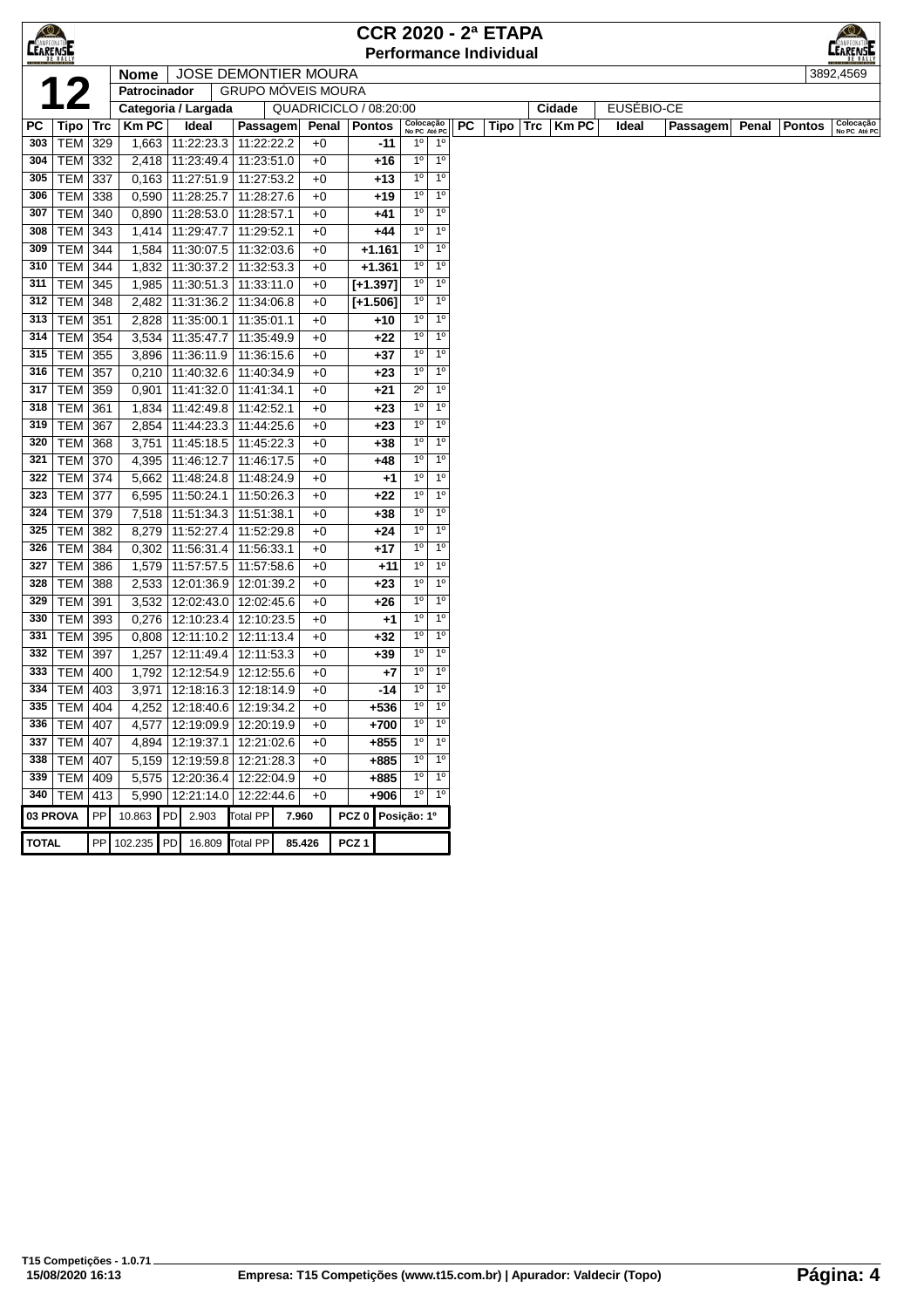| $\bigotimes$<br><b>CEARENSE</b> |                       |           |                     |                                 |                          |                             |                  |               | <b>CCR 2020 - 2ª ETAPA</b><br><b>Performance Individual</b> |           |      |     |        |            |          |       |               | LEARENSE                  |  |  |  |  |
|---------------------------------|-----------------------|-----------|---------------------|---------------------------------|--------------------------|-----------------------------|------------------|---------------|-------------------------------------------------------------|-----------|------|-----|--------|------------|----------|-------|---------------|---------------------------|--|--|--|--|
|                                 |                       |           | <b>Nome</b>         |                                 |                          | <b>JOSE DEMONTIER MOURA</b> |                  |               |                                                             |           |      |     |        |            |          |       |               | 3892,4569                 |  |  |  |  |
|                                 |                       |           | Patrocinador        |                                 |                          | <b>GRUPO MÓVEIS MOURA</b>   |                  |               |                                                             |           |      |     |        |            |          |       |               |                           |  |  |  |  |
|                                 |                       |           | Categoria / Largada |                                 |                          | QUADRICICLO / 08:20:00      |                  |               |                                                             |           |      |     | Cidade | EUSÉBIO-CE |          |       |               |                           |  |  |  |  |
| PC                              | Tipo   Trc            |           | <b>Km PC</b>        | Ideal                           | Passagem                 | Penal                       |                  | Pontos        | Colocação<br>No PC Até PC                                   | <b>PC</b> | Tipo | Trc | Km PC  | Ideal      | Passagem | Penal | <b>Pontos</b> | Colocação<br>No PC Até PC |  |  |  |  |
| 303                             | $TEM$ 329             |           | 1,663               | 11:22:23.3                      | 11:22:22.2               | $+0$                        |                  | $-11$         | $1^{\circ}$<br>$1^{\circ}$                                  |           |      |     |        |            |          |       |               |                           |  |  |  |  |
| 304                             | TEM 332               |           |                     | 2,418 11:23:49.4                | 11:23:51.0               | $+0$                        |                  | $+16$         | $1^{\circ}$<br>1 <sup>0</sup>                               |           |      |     |        |            |          |       |               |                           |  |  |  |  |
| 305                             | TEM                   | 337       |                     | 0,163 11:27:51.9                | 11:27:53.2               | $+0$                        |                  | +13           | 1 <sup>0</sup><br>1 <sup>0</sup>                            |           |      |     |        |            |          |       |               |                           |  |  |  |  |
| 306                             | <b>TEM</b>            | 338       | 0,590               | 11:28:25.7                      | 11:28:27.6               | $+0$                        |                  | +19           | $1^{\circ}$<br>$1^{\circ}$                                  |           |      |     |        |            |          |       |               |                           |  |  |  |  |
| 307                             | <b>TEM</b>            | 340       | 0,890               | 11:28:53.0                      | 11:28:57.1               | $+0$                        |                  | +41           | $1^{\circ}$<br>1 <sup>0</sup>                               |           |      |     |        |            |          |       |               |                           |  |  |  |  |
| 308                             | TEM                   | 343       | 1,414               | 11:29:47.7                      | 11:29:52.1               | $+0$                        |                  | +44           | 1 <sup>o</sup><br>1 <sup>0</sup>                            |           |      |     |        |            |          |       |               |                           |  |  |  |  |
| 309                             | <b>TEM 344</b>        |           | 1,584               | 11:30:07.5                      | 11:32:03.6               | $+0$                        |                  | $+1.161$      | 1 <sup>0</sup><br>1 <sup>0</sup>                            |           |      |     |        |            |          |       |               |                           |  |  |  |  |
| 310                             | TEM                   | 344       | 1,832               | 11:30:37.2                      | 11:32:53.3               | $+0$                        |                  | $+1.361$      | 1 <sup>0</sup><br>$1^{\circ}$                               |           |      |     |        |            |          |       |               |                           |  |  |  |  |
| 311                             | <b>TEM 345</b>        |           | 1,985               | 11:30:51.3                      | 11:33:11.0               | $+0$                        |                  | $[+1.397]$    | $1^{\circ}$<br>1 <sup>0</sup>                               |           |      |     |        |            |          |       |               |                           |  |  |  |  |
| 312                             | <b>TEM 348</b>        |           | 2,482               | 11:31:36.2                      | 11:34:06.8               | $+0$                        |                  | $[+1.506]$    | $1^{\circ}$<br>1 <sup>0</sup>                               |           |      |     |        |            |          |       |               |                           |  |  |  |  |
| 313                             | TEM                   | 351       | 2,828               | 11:35:00.1                      | 11:35:01.1               | $+0$                        |                  | +10           | $1^{\circ}$<br>1 <sup>0</sup>                               |           |      |     |        |            |          |       |               |                           |  |  |  |  |
| 314                             | <b>TEM</b>            | 354       | 3,534               | 11:35:47.7                      | 11:35:49.9               | $+0$                        |                  | $+22$         | $1^{\circ}$<br>$1^{\circ}$                                  |           |      |     |        |            |          |       |               |                           |  |  |  |  |
| 315                             | <b>TEM</b>            | 355       | 3,896               | 11:36:11.9                      | 11:36:15.6               | $+0$                        |                  | +37           | $1^{\circ}$<br>1 <sup>0</sup>                               |           |      |     |        |            |          |       |               |                           |  |  |  |  |
| 316                             | <b>TEM</b>            | 357       | 0,210               | 11:40:32.6                      | 11:40:34.9               | $+0$                        |                  | $+23$         | $1^{\circ}$<br>1 <sup>0</sup>                               |           |      |     |        |            |          |       |               |                           |  |  |  |  |
| 317                             | <b>TEM</b>            | 359       | 0,901               | 11:41:32.0                      | 11:41:34.1               | $+0$                        |                  | $+21$         | $2^{\circ}$<br>1 <sup>0</sup>                               |           |      |     |        |            |          |       |               |                           |  |  |  |  |
| 318                             | TEM                   | 361       | 1,834               | 11:42:49.8                      | 11:42:52.1               | $+0$                        |                  | $+23$         | 1 <sup>0</sup><br>1 <sup>0</sup>                            |           |      |     |        |            |          |       |               |                           |  |  |  |  |
| 319                             | TEM                   | 367       | 2,854               | 11:44:23.3                      | 11:44:25.6               | $+0$                        |                  | $+23$         | $1^{\circ}$<br>$1^{\circ}$<br>$1^{\circ}$<br>1 <sup>0</sup> |           |      |     |        |            |          |       |               |                           |  |  |  |  |
| 320                             | TEM                   | 368       | 3,751               | 11:45:18.5                      | 11:45:22.3               | $+0$                        |                  | +38           | 1 <sup>0</sup><br>1 <sup>0</sup>                            |           |      |     |        |            |          |       |               |                           |  |  |  |  |
| 321                             | <b>TEM 370</b>        |           | 4,395               | 11:46:12.7                      | 11:46:17.5               | $+0$                        |                  | +48           | 1 <sup>0</sup><br>1 <sup>0</sup>                            |           |      |     |        |            |          |       |               |                           |  |  |  |  |
| 322<br>323                      | <b>TEM 374</b><br>TEM | 377       | 5,662<br>6,595      | 11:48:24.8<br>11:50:24.1        | 11:48:24.9<br>11:50:26.3 | $+0$<br>$+0$                |                  | $+1$<br>$+22$ | $1^{\circ}$<br>1 <sup>0</sup>                               |           |      |     |        |            |          |       |               |                           |  |  |  |  |
| 324                             | <b>TEM</b>            | 379       | 7,518               | 11:51:34.3                      | 11:51:38.1               | $+0$                        |                  | +38           | $1^{\circ}$<br>1 <sup>0</sup>                               |           |      |     |        |            |          |       |               |                           |  |  |  |  |
| 325                             | <b>TEM</b>            | 382       | 8,279               | 11:52:27.4                      | 11:52:29.8               | $+0$                        |                  | +24           | $1^{\circ}$<br>1 <sup>0</sup>                               |           |      |     |        |            |          |       |               |                           |  |  |  |  |
| 326                             | <b>TEM</b>            | 384       | 0,302               | 11:56:31.4                      | 11:56:33.1               | $+0$                        |                  | +17           | $1^{\circ}$<br>1 <sup>0</sup>                               |           |      |     |        |            |          |       |               |                           |  |  |  |  |
| 327                             | TEM                   | 386       | 1,579               | 11:57:57.5                      | 11:57:58.6               | $+0$                        |                  | +11           | $1^{\circ}$<br>1 <sup>0</sup>                               |           |      |     |        |            |          |       |               |                           |  |  |  |  |
| 328                             | TEM                   | 388       | 2,533               | 12:01:36.9                      | 12:01:39.2               | $+0$                        |                  | $+23$         | $1^{\circ}$<br>$1^{\circ}$                                  |           |      |     |        |            |          |       |               |                           |  |  |  |  |
| 329                             | <b>TEM</b>            | 391       | 3,532               | 12:02:43.0   12:02:45.6         |                          | $+0$                        |                  | +26           | $1^{\circ}$<br>1 <sup>0</sup>                               |           |      |     |        |            |          |       |               |                           |  |  |  |  |
| 330                             | <b>TEM</b>            | 393       | 0,276               | 12:10:23.4                      | 12:10:23.5               | $+0$                        |                  | $+1$          | $1^{\circ}$<br>1 <sup>0</sup>                               |           |      |     |        |            |          |       |               |                           |  |  |  |  |
| 331                             | TEM                   | 395       | 0,808               | 12:11:10.2                      | 12:11:13.4               | $+0$                        |                  | +32           | $1^{\circ}$<br>1 <sup>0</sup>                               |           |      |     |        |            |          |       |               |                           |  |  |  |  |
| 332                             | TEM                   | 397       | 1,257               | 12:11:49.4                      | 12:11:53.3               | $+0$                        |                  | $+39$         | $1^{\circ}$<br>1 <sup>0</sup>                               |           |      |     |        |            |          |       |               |                           |  |  |  |  |
| 333                             | <b>TEM</b>            | 400       | 1,792               | 12:12:54.9                      | 12:12:55.6               | $+0$                        |                  | +7            | $1^{\circ}$<br>$1^{\circ}$                                  |           |      |     |        |            |          |       |               |                           |  |  |  |  |
| 334                             | TEM                   | 403       | 3,971               | 12:18:16.3 12:18:14.9           |                          | $+0$                        |                  | -14           | $1^{\circ}$<br>1 <sup>0</sup>                               |           |      |     |        |            |          |       |               |                           |  |  |  |  |
|                                 | 335   TEM   404       |           |                     | 4,252   12:18:40.6   12:19:34.2 |                          | $+0$                        |                  | $+536$        | 1 <sup>0</sup><br>1 <sup>0</sup>                            |           |      |     |        |            |          |       |               |                           |  |  |  |  |
|                                 | 336   TEM   407       |           |                     | 4,577   12:19:09.9   12:20:19.9 |                          | $+0$                        |                  | +700          | $1^{\circ}$<br>$1^{\circ}$                                  |           |      |     |        |            |          |       |               |                           |  |  |  |  |
|                                 | 337   TEM   407       |           |                     | 4,894   12:19:37.1   12:21:02.6 |                          | $+0$                        |                  | $+855$        | 1 <sup>0</sup><br>1 <sup>0</sup>                            |           |      |     |        |            |          |       |               |                           |  |  |  |  |
|                                 | 338   TEM   407       |           |                     | 5,159   12:19:59.8   12:21:28.3 |                          | $+0$                        |                  | +885          | 1 <sup>0</sup><br>$1^{\circ}$                               |           |      |     |        |            |          |       |               |                           |  |  |  |  |
|                                 | 339   TEM   409       |           |                     | 5,575   12:20:36.4   12:22:04.9 |                          | $+0$                        |                  | $+885$        | 1 <sup>0</sup><br>1 <sup>0</sup>                            |           |      |     |        |            |          |       |               |                           |  |  |  |  |
|                                 | 340   TEM             | 413       |                     | 5,990   12:21:14.0   12:22:44.6 |                          | $+0$                        |                  | $+906$        | $1^{\circ}$<br>1 <sup>0</sup>                               |           |      |     |        |            |          |       |               |                           |  |  |  |  |
| 03 PROVA                        |                       | PP        | 10.863              | PD 2.903                        | <b>Total PP</b>          | 7.960                       | PCZ <sub>0</sub> |               | Posição: 1º                                                 |           |      |     |        |            |          |       |               |                           |  |  |  |  |
| <b>TOTAL</b>                    |                       | <b>PP</b> | 102.235 PD          | 16.809                          | <b>Total PP</b>          | 85.426                      | PCZ <sub>1</sub> |               |                                                             |           |      |     |        |            |          |       |               |                           |  |  |  |  |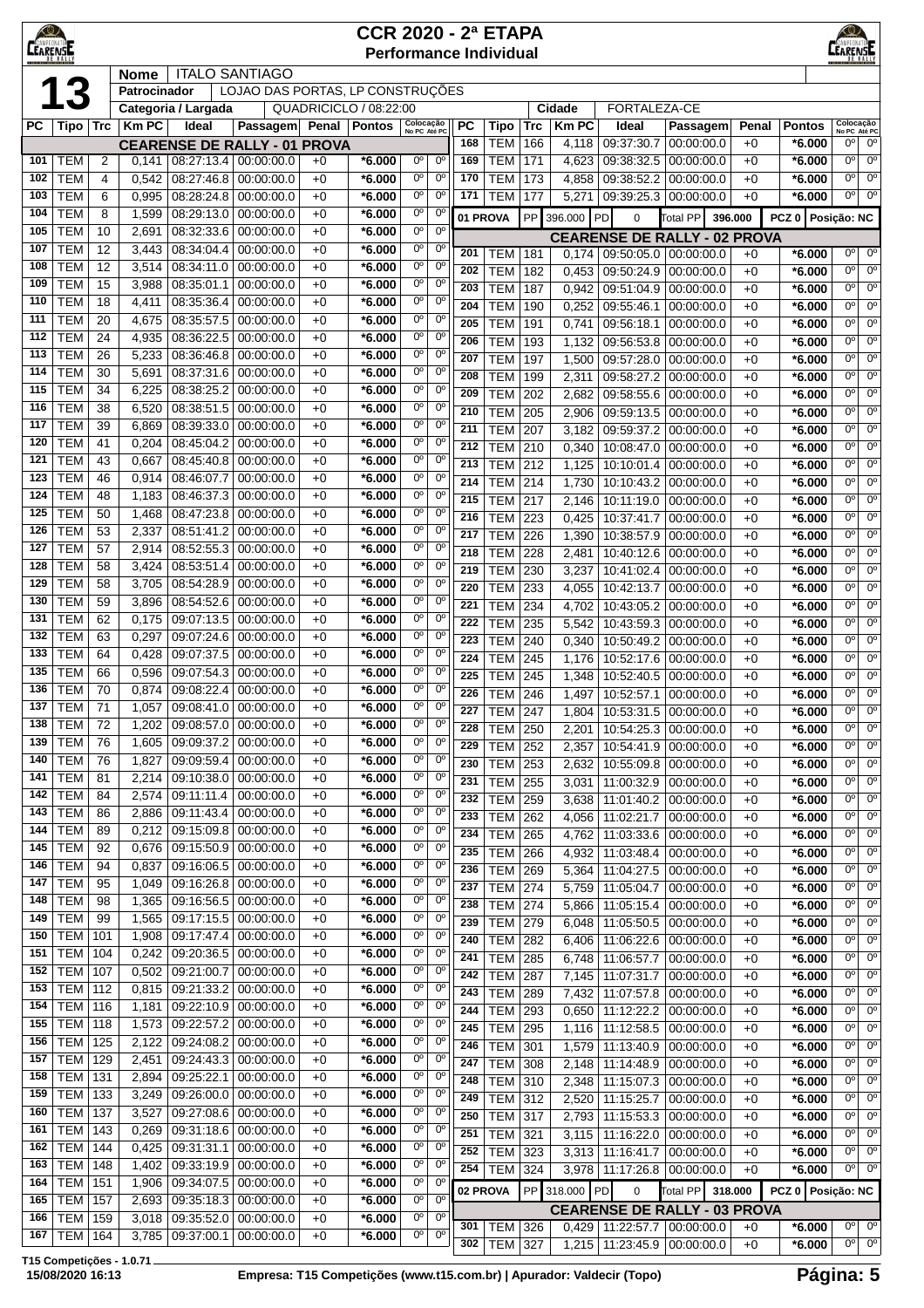| $\bigcirc$<br><b>CEARENSE</b> |                          |                     |                             |                          |                                                           |              | <b>CCR 2020 - 2ª ETAPA</b><br><b>Performance Individual</b> |                               |                               |            |                          |                |                |                                                           |                          |              |                      |                                                                |  |
|-------------------------------|--------------------------|---------------------|-----------------------------|--------------------------|-----------------------------------------------------------|--------------|-------------------------------------------------------------|-------------------------------|-------------------------------|------------|--------------------------|----------------|----------------|-----------------------------------------------------------|--------------------------|--------------|----------------------|----------------------------------------------------------------|--|
|                               |                          |                     | <b>Nome</b><br>Patrocinador |                          | <b>ITALO SANTIAGO</b><br>LOJAO DAS PORTAS, LP CONSTRUÇÕES |              |                                                             |                               |                               |            |                          |                |                |                                                           |                          |              |                      |                                                                |  |
|                               | 13                       |                     |                             | Categoria / Largada      |                                                           |              | QUADRICICLO / 08:22:00                                      |                               |                               |            |                          |                | Cidade         | FORTALEZA-CE                                              |                          |              |                      |                                                                |  |
| РC                            | Tipo                     | Trc                 | KmPC                        | Ideal                    | Passagem Penal Pontos                                     |              |                                                             | Colocação<br>No PC Até PC     |                               | <b>PC</b>  | Tipo                     | <b>Trc</b>     | <b>KmPC</b>    | Ideal                                                     | Passagem                 | Penal        | <b>Pontos</b>        | Colocação<br>No PC Até PC                                      |  |
|                               |                          |                     |                             |                          | <b>CEARENSE DE RALLY - 01 PROVA</b>                       |              |                                                             |                               |                               | 168        | <b>TEM</b>               | 166            | 4,118          | 09:37:30.7                                                | 00:00:00.0               | $+0$         | $*6.000$             | 0°<br>$0^{\circ}$                                              |  |
| 101<br>102                    | <b>TEM</b><br><b>TEM</b> | $\overline{2}$<br>4 | 0,141<br>0,542              | 08:27:46.8               | 08:27:13.4 00:00:00.0<br>00:00:00.0                       | $+0$<br>$+0$ | *6.000<br>*6.000                                            | 0°<br>0°                      | $0^{\circ}$<br>$0^{\circ}$    | 169<br>170 | <b>TEM</b><br><b>TEM</b> | 171<br>173     | 4,623<br>4,858 | 09:38:32.5<br>09:38:52.2                                  | 00:00:00.0<br>00:00:00.0 | $+0$<br>$+0$ | $*6.000$<br>$*6.000$ | $0^{\circ}$<br>$0^{\circ}$<br>$0^{\circ}$<br>$0^{\circ}$       |  |
| 103                           | <b>TEM</b>               | 6                   | 0,995                       | 08:28:24.8               | 00:00:00.0                                                | $+0$         | $*6.000$                                                    | 0°                            | $0^{\circ}$                   | 171        | <b>TEM</b>               | 177            | 5,271          | 09:39:25.3 00:00:00.0                                     |                          | $+0$         | $*6.000$             | 0°<br>$0^{\circ}$                                              |  |
| 104                           | <b>TEM</b>               | 8                   | 1,599                       | 08:29:13.0               | 00:00:00.0                                                | $+0$         | $*6.000$                                                    | 0°                            | $0^{\circ}$                   | 01 PROVA   |                          | <b>PP</b>      | 396.000 PD     | $\mathbf 0$                                               | <b>Total PP</b>          | 396.000      | PCZ 0   Posição: NC  |                                                                |  |
| 105                           | <b>TEM</b>               | 10                  | 2,691                       | 08:32:33.6               | 00:00:00.0                                                | $+0$         | *6.000                                                      | 00                            | $0^{\circ}$                   |            |                          |                |                | <b>CEARENSE DE RALLY - 02 PROVA</b>                       |                          |              |                      |                                                                |  |
| 107                           | <b>TEM</b>               | 12                  | 3,443                       | 08:34:04.4               | 00:00:00.0                                                | $+0$         | *6.000                                                      | 0°                            | $0^{\rm o}$                   | 201        | TEM                      | 181            | 0,174          | 09:50:05.0                                                | 00:00:00.0               | $+0$         | $*6.000$             | $0^{\circ}$<br>$0^{\circ}$                                     |  |
| 108<br>109                    | <b>TEM</b><br><b>TEM</b> | 12<br>15            | 3,514<br>3,988              | 08:34:11.0<br>08:35:01.1 | 00:00:00.0<br>00:00:00.0                                  | $+0$<br>$+0$ | *6.000<br>*6.000                                            | 0°<br>0°                      | $0^{\circ}$<br>$0^{\circ}$    | 202        | <b>TEM</b>               | 182            | 0.453          | 09:50:24.9                                                | 00:00:00.0               | $+0$         | $*6.000$             | 0 <sup>o</sup><br>$0^{\circ}$                                  |  |
| 110                           | <b>TEM</b>               | 18                  | 4,411                       | 08:35:36.4               | 00:00:00.0                                                | $+0$         | *6.000                                                      | 0°                            | $0^{\circ}$                   | 203<br>204 | <b>TEM</b><br><b>TEM</b> | 187<br>190     | 0,942<br>0,252 | 09:51:04.9<br>09:55:46.1                                  | 00:00:00.0<br>00:00:00.0 | $+0$<br>$+0$ | $*6.000$<br>*6.000   | $0^{\circ}$<br>$0^{\circ}$<br>$0^{\circ}$<br>$0^{\circ}$       |  |
| 111                           | <b>TEM</b>               | 20                  | 4,675                       | 08:35:57.5               | 00:00:00.0                                                | $+0$         | *6.000                                                      | 0°                            | $0^{\circ}$                   | 205        | <b>TEM</b>               | 191            | 0,741          | 09:56:18.1                                                | 00:00:00.0               | $+0$         | *6.000               | $0^{\circ}$<br>$0^{\circ}$                                     |  |
| 112                           | <b>TEM</b>               | 24                  | 4,935                       | 08:36:22.5               | 00:00:00.0                                                | $+0$         | *6.000                                                      | 0°                            | $0^{\circ}$                   | 206        | <b>TEM</b>               | 193            | 1,132          | 09:56:53.8                                                | 00:00:00.0               | $+0$         | *6.000               | $0^{\circ}$<br>$0^{\circ}$                                     |  |
| 113<br>114                    | <b>TEM</b><br><b>TEM</b> | 26<br>30            | 5,233                       | 08:36:46.8               | 00:00:00.0                                                | $+0$<br>$+0$ | $*6.000$<br>$*6.000$                                        | 0°<br>0°                      | $0^{\circ}$<br>$0^{\circ}$    | 207        | <b>TEM</b>               | 197            | 1,500          | 09:57:28.0 00:00:00.0                                     |                          | $+0$         | $*6.000$             | 0 <sup>o</sup><br>$0^{\circ}$                                  |  |
| 115                           | <b>TEM</b>               | 34                  | 5,691<br>6,225              | 08:37:31.6<br>08:38:25.2 | 00:00:00.0<br>00:00:00.0                                  | $+0$         | *6.000                                                      | 0°                            | $0^{\circ}$                   | 208<br>209 | <b>TEM</b><br><b>TEM</b> | 199            | 2,311<br>2.682 | 09:58:27.2                                                | 00:00:00.0               | $+0$         | $*6.000$             | 0°<br>$0^{\circ}$<br>$0^{\circ}$<br>$0^{\circ}$                |  |
| 116                           | <b>TEM</b>               | 38                  | 6,520                       | 08:38:51.5               | 00:00:00.0                                                | $+0$         | *6.000                                                      | 0°                            | $0^{\circ}$                   | 210        | <b>TEM</b>               | 202<br>205     | 2,906          | 09:58:55.6<br>09:59:13.5                                  | 00:00:00.0<br>00:00:00.0 | $+0$<br>$+0$ | $*6.000$<br>$*6.000$ | 0 <sup>o</sup><br>$0^{\circ}$                                  |  |
| 117                           | <b>TEM</b>               | 39                  | 6,869                       | 08:39:33.0               | 00:00:00.0                                                | $+0$         | *6.000                                                      | 0°                            | $0^{\circ}$                   | 211        | <b>TEM</b>               | 207            | 3,182          | 09:59:37.2                                                | 00:00:00.0               | $+0$         | $*6.000$             | 0 <sup>o</sup><br>$0^{\circ}$                                  |  |
| 120                           | <b>TEM</b>               | 41                  | 0,204                       | 08:45:04.2               | 00:00:00.0                                                | $+0$         | *6.000                                                      | 0°                            | $0^{\circ}$                   | 212        | <b>TEM</b>               | 210            | 0.340          | 10:08:47.0                                                | 00:00:00.0               | $+0$         | $*6.000$             | $0^{\circ}$<br>$0^{\circ}$                                     |  |
| 121<br>123                    | <b>TEM</b><br><b>TEM</b> | 43<br>46            | 0,667<br>0,914              | 08:45:40.8<br>08:46:07.7 | 00:00:00.0<br>00:00:00.0                                  | $+0$<br>$+0$ | *6.000<br>*6.000                                            | 0°<br>0°                      | $0^{\circ}$<br>$0^{\circ}$    | 213        | <b>TEM</b>               | 212            | 1,125          | 10:10:01.4                                                | 00:00:00.0               | $+0$         | $*6.000$             | $0^{\circ}$<br>$0^{\circ}$                                     |  |
| 124                           | <b>TEM</b>               | 48                  | 1,183                       | 08:46:37.3               | 00:00:00.0                                                | $+0$         | *6.000                                                      | 0°                            | $0^{\circ}$                   | 214<br>215 | <b>TEM</b><br><b>TEM</b> | 214<br>217     | 1,730<br>2,146 | 10:10:43.2<br>10:11:19.0                                  | 00:00:00.0<br>00:00:00.0 | $+0$<br>$+0$ | $*6.000$<br>*6.000   | $0^{\circ}$<br>$0^{\circ}$<br>$0^{\circ}$<br>$0^{\circ}$       |  |
| 125                           | <b>TEM</b>               | 50                  | 1,468                       | 08:47:23.8               | 00:00:00.0                                                | $+0$         | $*6.000$                                                    | 0°                            | $0^{\circ}$                   | 216        | <b>TEM</b>               | 223            | 0,425          | 10:37:41.7                                                | 00:00:00.0               | $+0$         | $*6.000$             | $0^{\circ}$<br>$0^{\circ}$                                     |  |
| 126                           | <b>TEM</b>               | 53                  | 2,337                       | 08:51:41.2               | 00:00:00.0                                                | $+0$         | *6.000                                                      | 0°                            | $0^{\circ}$                   | 217        | <b>TEM</b>               | 226            | 1,390          | 10:38:57.9                                                | 00:00:00.0               | $+0$         | $*6.000$             | $0^{\circ}$<br>$0^{\circ}$                                     |  |
| 127                           | <b>TEM</b>               | 57                  | 2,914                       | 08:52:55.3               | 00:00:00.0                                                | $+0$         | $*6.000$                                                    | 0°                            | $0^{\circ}$                   | 218        | <b>TEM</b>               | 228            | 2,481          | 10:40:12.6                                                | 00:00:00.0               | $+0$         | $*6.000$             | 0 <sup>o</sup><br>$0^{\circ}$                                  |  |
| 128<br>129                    | <b>TEM</b><br><b>TEM</b> | 58<br>58            | 3,424<br>3,705              | 08:53:51.4<br>08:54:28.9 | 00:00:00.0<br>00:00:00.0                                  | $+0$<br>$+0$ | *6.000<br>*6.000                                            | 0°<br>0°                      | $0^{\circ}$<br>$0^{\circ}$    | 219        | <b>TEM</b>               | 230            | 3,237          | 10:41:02.4                                                | 00:00:00.0               | $+0$         | $*6.000$             | 0 <sup>o</sup><br>$0^{\circ}$                                  |  |
| 130                           | <b>TEM</b>               | 59                  | 3,896                       | 08:54:52.6               | 00:00:00.0                                                | $+0$         | *6.000                                                      | 0°                            | $0^{\circ}$                   | 220<br>221 | <b>TEM</b><br><b>TEM</b> | 233<br>234     | 4,055<br>4,702 | 10:42:13.7<br>10:43:05.2                                  | 00:00:00.0<br>00:00:00.0 | $+0$<br>$+0$ | $*6.000$<br>$*6.000$ | $0^{\circ}$<br>$0^{\circ}$<br>$0^{\circ}$<br>$0^{\circ}$       |  |
| 131                           | <b>TEM</b>               | 62                  | 0,175                       | 09:07:13.5               | 00:00:00.0                                                | $+0$         | *6.000                                                      | 0°                            | $0^{\circ}$                   | 222        | <b>TEM</b>               | 235            | 5,542          | 10:43:59.3                                                | 00:00:00.0               | $+0$         | $*6.000$             | $0^{\circ}$<br>$0^{\circ}$                                     |  |
| 132                           | <b>TEM</b>               | 63                  | 0,297                       | 09:07:24.6               | 00:00:00.0                                                | $+0$         | *6.000                                                      | 0°                            | 0°                            | 223        | <b>TEM</b>               | 240            | 0,340          | 10:50:49.2                                                | 00:00:00.0               | $+0$         | *6.000               | $0^{\circ}$<br>0°                                              |  |
| 133                           | <b>TEM</b>               | 64                  | 0,428                       | 09:07:37.5               | 00:00:00.0                                                | $+0$         | *6.000                                                      | 0°                            | $0^{\circ}$                   | 224        | <b>TEM</b>               | 245            | 1,176          | 10:52:17.6                                                | 00:00:00.0               | $+0$         | *6.000               | $0^{\circ}$<br>$0^{\circ}$                                     |  |
| 135<br>136                    | <b>TEM</b><br><b>TEM</b> | 66<br>70            | 0,596<br>0,874              | 09:07:54.3<br>09:08:22.4 | 00:00:00.0<br>00:00:00.0                                  | $+0$<br>$+0$ | *6.000<br>*6.000                                            | 0°<br>0°                      | $0^{\circ}$<br>$0^{\circ}$    | 225        | <b>TEM</b>               | 245            | 1,348          | 10:52:40.5                                                | 00:00:00.0               | $+0$         | $*6.000$             | $0^{\circ}$<br>$0^{\circ}$<br>0 <sup>o</sup>                   |  |
| 137                           | <b>TEM</b>               | 71                  | 1,057                       |                          | 09:08:41.0 00:00:00.0                                     | $+0$         | $*6.000$                                                    | 0°                            | $0^{\circ}$                   | 226<br>227 | TEM<br><b>TEM</b>        | 246<br>247     | 1,497          | 10:52:57.1<br>1,804   10:53:31.5   00:00:00.0             | 00:00:00.0               | $+0$<br>$+0$ | *6.000<br>$*6.000$   | 0 <sup>o</sup><br>$0^{\circ}$<br>$0^{\circ}$                   |  |
| 138                           | TEM                      | 72                  | 1,202                       |                          | 09:08:57.0   00:00:00.0                                   | $+0$         | *6.000                                                      | $0^{\circ}$                   | 0 <sup>o</sup>                | 228        | <b>TEM 250</b>           |                |                | 2,201   10:54:25.3   00:00:00.0                           |                          | $+0$         | $*6.000$             | $0^{\circ}$<br>0°                                              |  |
| 139                           | <b>TEM</b>               | 76                  | 1,605                       | 09:09:37.2               | 00:00:00.0                                                | $+0$         | *6.000                                                      | 0°                            | $0^{\circ}$                   | 229        | <b>TEM</b>               | 252            | 2,357          | 10:54:41.9                                                | 00:00:00.0               | $+0$         | $*6.000$             | $0^{\circ}$<br>$0^{\circ}$                                     |  |
| 140<br>141                    | <b>TEM</b><br><b>TEM</b> | 76<br>81            | 1,827<br>2,214              | 09:09:59.4               | 00:00:00.0<br>09:10:38.0 00:00:00.0                       | $+0$<br>$+0$ | $*6.000$<br>$*6.000$                                        | 0 <sup>o</sup><br>0°          | 0 <sup>o</sup><br>$0^{\circ}$ | 230        | <b>TEM</b>               | 253            | 2,632          | 10:55:09.8                                                | 00:00:00.0               | $+0$         | $*6.000$             | $0^{\circ}$<br>$0^{\circ}$                                     |  |
| 142                           | <b>TEM</b>               | 84                  | 2,574                       | 09:11:11.4               | 00:00:00.0                                                | $+0$         | $*6.000$                                                    | 0°                            | $0^{\rm o}$                   | 231<br>232 | <b>TEM</b><br><b>TEM</b> | 255<br>259     | 3,031<br>3,638 | 11:00:32.9<br>11:01:40.2                                  | 00:00:00.0<br>00:00:00.0 | $+0$<br>$+0$ | $*6.000$<br>$*6.000$ | 0 <sup>o</sup><br>$0^{\circ}$<br>0°<br>$0^{\circ}$             |  |
| 143                           | <b>TEM</b>               | 86                  | 2,886                       | 09:11:43.4               | 00:00:00.0                                                | $+0$         | *6.000                                                      | $0^{\circ}$                   | $0^{\circ}$                   | 233        | <b>TEM</b>               | 262            | 4,056          | 11:02:21.7                                                | 00:00:00.0               | $+0$         | $*6.000$             | $0^{\circ}$<br>$0^{\circ}$                                     |  |
| 144                           | <b>TEM</b>               | 89                  | 0,212                       | 09:15:09.8               | 00:00:00.0                                                | $+0$         | $*6.000$                                                    | $0^{\rm o}$                   | $0^{\circ}$                   | 234        | <b>TEM</b>               | 265            | 4,762          | 11:03:33.6                                                | 00:00:00.0               | $+0$         | $*6.000$             | $0^{\circ}$<br>$0^{\circ}$                                     |  |
| 145                           | <b>TEM</b>               | 92                  | 0,676                       | 09:15:50.9               | 00:00:00.0                                                | $+0$         | $*6.000$                                                    | 0 <sup>o</sup>                | $0^{\circ}$                   | 235        | <b>TEM</b>               | 266            | 4,932          | 11:03:48.4                                                | 00:00:00.0               | $+0$         | $*6.000$             | 0 <sup>o</sup><br>0 <sup>o</sup>                               |  |
| 146<br>147                    | <b>TEM</b><br><b>TEM</b> | 94<br>95            | 0,837<br>1,049              | 09:16:06.5<br>09:16:26.8 | 00:00:00.0<br>00:00:00.0                                  | $+0$<br>$+0$ | $*6.000$<br>$*6.000$                                        | $0^{\rm o}$<br>0°             | $0^{\circ}$<br>$0^{\circ}$    | 236        | <b>TEM</b>               | 269            | 5,364          | 11:04:27.5                                                | 00:00:00.0               | $+0$         | $*6.000$             | $0^{\circ}$<br>$0^{\circ}$                                     |  |
| 148                           | <b>TEM</b>               | 98                  | 1,365                       | 09:16:56.5               | 00:00:00.0                                                | $+0$         | $*6.000$                                                    | 0 <sup>o</sup>                | $0^{\circ}$                   | 237<br>238 | <b>TEM</b><br><b>TEM</b> | 274<br>274     | 5,759<br>5,866 | 11:05:04.7<br>11:05:15.4                                  | 00:00:00.0<br>00:00:00.0 | $+0$<br>$+0$ | $*6.000$<br>$*6.000$ | $0^{\circ}$<br>$0^{\circ}$<br>$0^{\circ}$<br>$0^{\circ}$       |  |
| 149                           | <b>TEM</b>               | 99                  | 1,565                       |                          | 09:17:15.5 00:00:00.0                                     | $+0$         | *6.000                                                      | 0 <sup>o</sup>                | 0 <sup>o</sup>                | 239        | <b>TEM</b>               | 279            | 6,048          | 11:05:50.5                                                | 00:00:00.0               | $+0$         | $*6.000$             | 0 <sup>o</sup><br>$0^{\circ}$                                  |  |
| 150                           | <b>TEM</b>               | 101                 | 1,908                       | 09:17:47.4               | 00:00:00.0                                                | $+0$         | $*6.000$                                                    | 0°                            | $0^{\circ}$                   | 240        | <b>TEM</b>               | 282            | 6,406          | 11:06:22.6                                                | 00:00:00.0               | $+0$         | $*6.000$             | $0^{\circ}$<br>$0^{\circ}$                                     |  |
| 151<br>152                    | <b>TEM</b><br><b>TEM</b> | 104<br>107          | 0,242<br>0,502              | 09:21:00.7               | 09:20:36.5 00:00:00.0<br>00:00:00.0                       | $+0$<br>$+0$ | $*6.000$<br>$*6.000$                                        | 0°<br>0°                      | $0^{\circ}$<br>$0^{\circ}$    | 241        | <b>TEM</b>               | 285            | 6,748          | 11:06:57.7                                                | 00:00:00.0               | $+0$         | $*6.000$             | 0 <sup>o</sup><br>$0^{\circ}$                                  |  |
| 153                           | <b>TEM</b>               | 112                 | 0,815                       | 09:21:33.2               | 00:00:00.0                                                | $+0$         | $*6.000$                                                    | 0°                            | $0^{\circ}$                   | 242<br>243 | <b>TEM</b><br><b>TEM</b> | 287<br>289     | 7,145<br>7,432 | 11:07:31.7<br>11:07:57.8                                  | 00:00:00.0<br>00:00:00.0 | $+0$<br>$+0$ | $*6.000$<br>$*6.000$ | $0^{\circ}$<br>$0^{\circ}$<br>0 <sup>0</sup><br>0 <sup>o</sup> |  |
| 154                           | <b>TEM</b>               | 116                 | 1,181                       | 09:22:10.9               | 00:00:00.0                                                | $+0$         | $*6.000$                                                    | 0 <sup>o</sup>                | 0 <sup>o</sup>                | 244        | <b>TEM</b>               | 293            | 0,650          | 11:12:22.2                                                | 00:00:00.0               | $+0$         | $*6.000$             | $0^{\circ}$<br>$0^{\circ}$                                     |  |
| 155                           | <b>TEM</b>               | 118                 | 1,573                       | 09:22:57.2               | 00:00:00.0                                                | $+0$         | $*6.000$                                                    | 0°                            | $0^{\circ}$                   | 245        | <b>TEM</b>               | 295            | 1,116          | 11:12:58.5                                                | 00:00:00.0               | $+0$         | $*6.000$             | $0^{\circ}$<br>$0^{\circ}$                                     |  |
| 156                           | <b>TEM</b>               | 125                 | 2,122                       | 09:24:08.2               | 00:00:00.0                                                | $+0$         | $*6.000$                                                    | 0°                            | $0^{\circ}$                   | 246        | <b>TEM</b>               | 301            | 1,579          | 11:13:40.9                                                | 00:00:00.0               | $+0$         | $*6.000$             | 0 <sup>o</sup><br>$0^{\circ}$                                  |  |
| 157<br>158                    | <b>TEM</b><br><b>TEM</b> | 129<br>131          | 2,451<br>2,894              | 09:24:43.3<br>09:25:22.1 | 00:00:00.0<br>00:00:00.0                                  | $+0$<br>$+0$ | $*6.000$<br>$*6.000$                                        | 0°<br>0 <sup>o</sup>          | $0^{\circ}$<br>0 <sup>o</sup> | 247        | <b>TEM</b>               | 308            | 2,148          | 11:14:48.9                                                | 00:00:00.0               | $+0$         | $*6.000$             | $0^{\circ}$<br>$0^{\circ}$                                     |  |
| 159                           | <b>TEM</b>               | 133                 | 3,249                       |                          | 09:26:00.0 00:00:00.0                                     | $+0$         | $*6.000$                                                    | 0°                            | $0^{\circ}$                   | 248<br>249 | <b>TEM</b><br>TEM        | 310<br>312     | 2,348<br>2,520 | 11:15:07.3<br>11:15:25.7                                  | 00:00:00.0<br>00:00:00.0 | $+0$<br>$+0$ | $*6.000$<br>$*6.000$ | $0^{\circ}$<br>$0^{\circ}$<br>$0^{\circ}$<br>$0^{\circ}$       |  |
| 160                           | <b>TEM</b>               | 137                 | 3,527                       |                          | 09:27:08.6 00:00:00.0                                     | $+0$         | $*6.000$                                                    | 0°                            | $0^{\circ}$                   | 250        | TEM                      | 317            | 2,793          | 11:15:53.3                                                | 00:00:00.0               | $+0$         | $*6.000$             | 0 <sup>o</sup><br>$0^{\circ}$                                  |  |
| 161                           | <b>TEM</b>               | 143                 | 0,269                       | 09:31:18.6               | 00:00:00.0                                                | $+0$         | $*6.000$                                                    | 0°                            | $0^{\rm o}$                   | 251        | <b>TEM</b>               | 321            | 3,115          | 11:16:22.0                                                | 00:00:00.0               | $+0$         | $*6.000$             | 0 <sup>o</sup><br>0 <sup>o</sup>                               |  |
| 162<br>163                    | <b>TEM</b><br><b>TEM</b> | 144                 | 0,425                       | 09:31:31.1               | 00:00:00.0                                                | $+0$         | $*6.000$<br>$*6.000$                                        | $0^{\rm o}$<br>0 <sup>o</sup> | $0^{\circ}$<br>0 <sup>o</sup> | 252        | <b>TEM</b>               | 323            |                | $3,313$   11:16:41.7                                      | 00:00:00.0               | $+0$         | $*6.000$             | 0 <sup>o</sup><br>$0^{\circ}$                                  |  |
| 164                           | TEM                      | 148<br>151          | 1,402<br>1,906              | 09:33:19.9<br>09:34:07.5 | 00:00:00.0<br>00:00:00.0                                  | $+0$<br>$+0$ | $*6.000$                                                    | $0^{\rm o}$                   | 0 <sup>o</sup>                | 254        | TEM                      | 324            |                | 3,978   11:17:26.8                                        | 00:00:00.0               | $+0$         | $*6.000$             | $0o$ 0 <sup>o</sup>                                            |  |
| 165                           | <b>TEM</b>               | 157                 | 2,693                       | 09:35:18.3               | 00:00:00.0                                                | $+0$         | $*6.000$                                                    | 0°                            | $0^{\circ}$                   |            | 02 PROVA                 | PP <sup></sup> | 318.000 PD     | 0                                                         | <b>Total PP</b>          | 318.000      | PCZ 0 Posição: NC    |                                                                |  |
| 166                           | <b>TEM</b>               | 159                 | 3,018                       | 09:35:52.0               | 00:00:00.0                                                | $+0$         | $*6.000$                                                    | 0°                            | $0^{\circ}$                   | 301        | TEM 326                  |                |                | <b>CEARENSE DE RALLY - 03 PROVA</b><br>$0,429$ 11:22:57.7 | 00:00:00.0               | $+0$         | $*6.000$             | 0 <sup>o</sup><br>0 <sup>o</sup>                               |  |
| 167                           | <b>TEM</b>               | 164                 | 3,785                       | 09:37:00.1               | 00:00:00.0                                                | $+0$         | $*6.000$                                                    | 0 <sup>o</sup>                | $0^{\circ}$                   | 302        | TEM                      | 327            |                | 1,215 11:23:45.9                                          | 00:00:00.0               | $+0$         | $*6.000$             | $0o$ 0 <sup>o</sup>                                            |  |

**T15 Competições - 1.0.71**